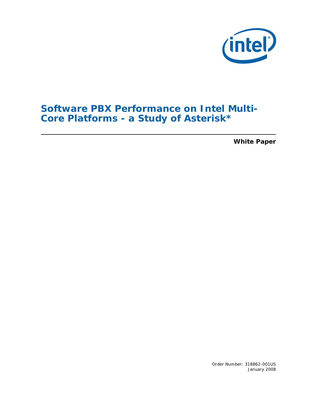

# **Software PBX Performance on Intel Multi-Core Platforms - a Study of Asterisk\***

 **White Paper**

Order Number: 318862-001US January 2008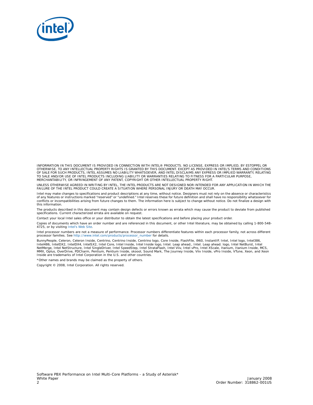

INFORMATION IN THIS DOCUMENT IS PROVIDED IN CONNECTION WITH INTEL® PRODUCTS. NO LICENSE, EXPRESS OR IMPLIED, BY ESTOPPEL OR<br>OTHERWISE, TO ANY INTELLECTUAL PROPERTY RIGHTS IS GRANTED BY THIS DOCUMENT. EXCEPT AS PROVIDED IN OF SALE FOR SUCH PRODUCTS, INTEL ASSUMES NO LIABILITY WHATSOEVER, AND INTEL DISCLAIMS ANY EXPRESS OR IMPLIED WARRANTY, RELATING TO SALE AND/OR USE OF INTEL PRODUCTS INCLUDING LIABILITY OR WARRANTIES RELATING TO FITNESS FOR A PARTICULAR PURPOSE,<br>MERCHANTABILITY, OR INFRINGEMENT OF ANY PATENT, COPYRIGHT OR OTHER INTELLECTUAL PROPERTY RIGHT.

UNLESS OTHERWISE AGREED IN WRITING BY INTEL, THE INTEL PRODUCTS ARE NOT DESIGNED NOR INTENDED FOR ANY APPLICATION IN WHICH THE FAILURE OF THE INTEL PRODUCT COULD CREATE A SITUATION WHERE PERSONAL INJURY OR DEATH MAY OCCUR.

Intel may make changes to specifications and product descriptions at any time, without notice. Designers must not rely on the absence or characteristics<br>of any features or instructions marked "reserved" or "undefined." Int conflicts or incompatibilities arising from future changes to them. The information here is subject to change without notice. Do not finalize a design with this information.

The products described in this document may contain design defects or errors known as errata which may cause the product to deviate from published specifications. Current characterized errata are available on request.

Contact your local Intel sales office or your distributor to obtain the latest specifications and before placing your product order.

Copies of documents which have an order number and are referenced in this document, or other Intel literature, may be obtained by calling 1-800-548- 4725, or by visiting [Intel's Web Site](http://www.intel.com).

Intel processor numbers are not a measure of performance. Processor numbers differentiate features within each processor family, not across different processor families. See [http://www.intel.com/products/processor\\_number](http://www.intel.com/products/processor_number) for details.

BunnyPeople, Celeron, Celeron Inside, Centrino, Centrino Inside, Centrino logo, Core Inside, FlashFile, i960, InstantIP, Intel, Intel logo, Intel386,<br>Intel486, IntelDX2, IntelDX4, IntelSX2, Intel Core, Intel Inside, Intel NetMerge, Intel NetStructure, Intel SingleDriver, Intel SpeedStep, Intel StrataFlash, Intel Viiv, Intel vPro, Intel XScale, Itanium, Itanium Inside, MCS,<br>MMX, Oplus, OverDrive, PDCharm, Pentium, Pentium Inside, skoool, Sou Inside are trademarks of Intel Corporation in the U.S. and other countries.

\*Other names and brands may be claimed as the property of others.

Copyright © 2008, Intel Corporation. All rights reserved.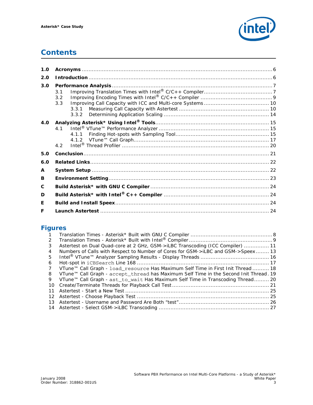

## **Contents**

| 1.0 |            |  |
|-----|------------|--|
| 2.0 |            |  |
| 3.0 |            |  |
|     | 3.1<br>3.2 |  |
|     | 3.3        |  |
|     |            |  |
|     | 3.3.2      |  |
| 4.0 |            |  |
|     | 4.1        |  |
|     | 4.1.1      |  |
|     |            |  |
|     | 4.2        |  |
| 5.0 |            |  |
| 6.0 |            |  |
| A   |            |  |
| в   |            |  |
| C   |            |  |
| D   |            |  |
| Е   |            |  |
| F   |            |  |

### **Figures**

| $\mathcal{P}$ |                                                                                       |  |
|---------------|---------------------------------------------------------------------------------------|--|
| 3             | Astertest on Dual Quad-core at 2 GHz, GSM->iLBC Transcoding (ICC Compiler)  11        |  |
| 4             | Numbers of Calls with Respect to Number of Cores for GSM->iLBC and GSM->Speex 13      |  |
| 5.            |                                                                                       |  |
| 6             |                                                                                       |  |
| 7             | VTune™ Call Graph - load_resource Has Maximum Self Time in First Init Thread  18      |  |
| 8             | VTune™ Call Graph - accept_thread has Maximum Self Time in the Second Init Thread. 19 |  |
| 9             | VTune™ Call Graph - ast_to_wait Has Maximum Self Time in Transcoding Thread 20        |  |
| 10            |                                                                                       |  |
| 11            |                                                                                       |  |
| 12            |                                                                                       |  |
| 13            |                                                                                       |  |
| 14            |                                                                                       |  |
|               |                                                                                       |  |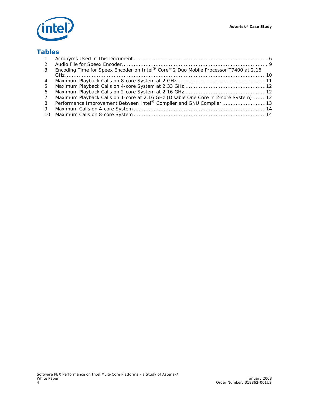

### **Tables**

| $\mathbf{1}$  |                                                                                     |  |
|---------------|-------------------------------------------------------------------------------------|--|
| 2             |                                                                                     |  |
| $\mathcal{S}$ | Encoding Time for Speex Encoder on Intel® Core™2 Duo Mobile Processor T7400 at 2.16 |  |
|               |                                                                                     |  |
| 4             |                                                                                     |  |
| 5             |                                                                                     |  |
| 6             |                                                                                     |  |
| 7             | Maximum Playback Calls on 1-core at 2.16 GHz (Disable One Core in 2-core System)12  |  |
| 8             | Performance Improvement Between Intel® Compiler and GNU Compiler                    |  |
| 9             |                                                                                     |  |
|               |                                                                                     |  |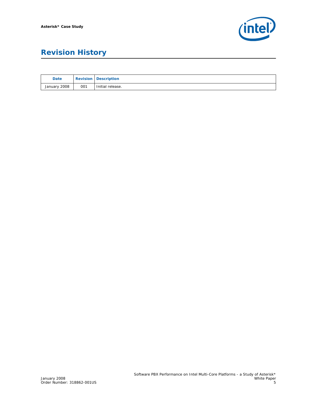

# **Revision History**

| <b>Date</b>  | <b>Revision</b> | <b>Description</b> |
|--------------|-----------------|--------------------|
| January 2008 | 001             | Initial release.   |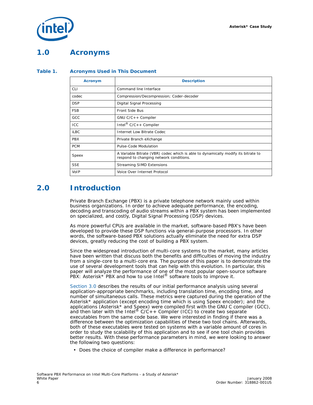

### <span id="page-5-0"></span>**1.0 Acronyms**

#### <span id="page-5-2"></span>**Table 1. Acronyms Used in This Document**

| <b>Acronym</b> | <b>Description</b>                                                                                                           |
|----------------|------------------------------------------------------------------------------------------------------------------------------|
| CLI            | Command line Interface                                                                                                       |
| codec          | Compression/Decompression; Coder-decoder                                                                                     |
| <b>DSP</b>     | Digital Signal Processing                                                                                                    |
| <b>FSB</b>     | Front Side Bus                                                                                                               |
| GCC            | GNU $C/C++$ Compiler                                                                                                         |
| <b>ICC</b>     | Intel <sup>®</sup> C/C++ Compiler                                                                                            |
| <b>iLBC</b>    | Internet Low Bitrate Codec                                                                                                   |
| <b>PBX</b>     | Private Branch eXchange                                                                                                      |
| <b>PCM</b>     | Pulse-Code Modulation                                                                                                        |
| Speex          | A Variable Bitrate (VBR) codec which is able to dynamically modify its bitrate to<br>respond to changing network conditions. |
| <b>SSE</b>     | <b>Streaming SIMD Extensions</b>                                                                                             |
| VolP           | Voice Over Internet Protocol                                                                                                 |

## <span id="page-5-1"></span>**2.0 Introduction**

Private Branch Exchange (PBX) is a private telephone network mainly used within business organizations. In order to achieve adequate performance, the encoding, decoding and transcoding of audio streams within a PBX system has been implemented on specialized, and costly, Digital Signal Processing (DSP) devices.

As more powerful CPUs are available in the market, software-based PBX's have been developed to provide these DSP functions via general-purpose processors. In other words, the software-based PBX solutions actually eliminate the need for extra DSP devices, greatly reducing the cost of building a PBX system.

Since the widespread introduction of multi-core systems to the market, many articles have been written that discuss both the benefits and difficulties of moving the industry from a single-core to a multi-core era. The purpose of this paper is to demonstrate the use of several development tools that can help with this evolution. In particular, this paper will analyze the performance of one of the most popular open-source software PBX: Asterisk\* PBX and how to use Intel® software tools to improve it.

[Section 3.0](#page-6-0) describes the results of our initial performance analysis using several application-appropriate benchmarks, including translation time, encoding time, and number of simultaneous calls. These metrics were captured during the operation of the Asterisk\* application (except encoding time which is using Speex encoder); and the applications (Asterisk\* and Speex) were compiled first with the GNU C compiler (GCC),<br>and then later with the Intel® C/C++ Compiler (ICC) to create two separate executables from the same code base. We were interested in finding if there was a difference between the optimization capabilities of these two tool chains. Afterwards, both of these executables were tested on systems with a variable amount of cores in order to study the scalability of this application and to see if one tool chain provides better results. With these performance parameters in mind, we were looking to answer the following two questions:

• Does the choice of compiler make a difference in performance?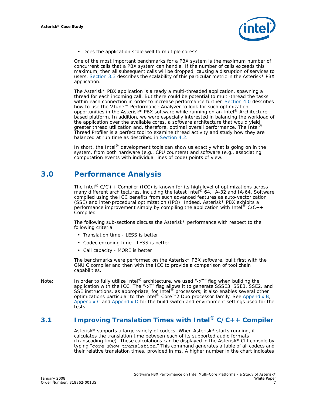

• Does the application scale well to multiple cores?

One of the most important benchmarks for a PBX system is the maximum number of concurrent calls that a PBX system can handle. If the number of calls exceeds this maximum, then all subsequent calls will be dropped, causing a disruption of services to users. [Section 3.3](#page-9-0) describes the scalability of this particular metric in the Asterisk\* PBX application.

The Asterisk\* PBX application is already a multi-threaded application, spawning a thread for each incoming call. But there could be potential to multi-thread the tasks within each connection in order to increase performance further. [Section 4.0](#page-14-0) describes how to use the VTune™ Performance Analyzer to look for such optimization opportunities in the Asterisk\* PBX software while running on an Intel<sup>®</sup> Architecturebased platform. In addition, we were especially interested in balancing the workload of the application over the available cores, a software architecture that would yield<br>greater thread utilization and, therefore, optimal overall performance. The Intel® Thread Profiler is a perfect tool to examine thread activity and study how they are balanced at run time as described in [Section 4.2](#page-19-0).

In short, the Intel $^{\circledR}$  development tools can show us exactly what is going on in the system, from both hardware (e.g., CPU counters) and software (e.g., associating computation events with individual lines of code) points of view.

## <span id="page-6-0"></span>**3.0 Performance Analysis**

The Intel<sup>®</sup> C/C++ Compiler (ICC) is known for its high level of optimizations across many different architectures, including the latest Intel® 64, IA-32 and IA-64. Software compiled using the ICC benefits from such advanced features as auto-vectorization (SSE) and inter-procedural optimization (IPO). Indeed, Asterisk\* PBX exhibits a performance improvement simply by compiling the application with Intel®  $C/C++$ Compiler.

The following sub-sections discuss the Asterisk\* performance with respect to the following criteria:

- Translation time LESS is better
- Codec encoding time LESS is better
- Call capacity MORE is better

The benchmarks were performed on the Asterisk\* PBX software, built first with the GNU C compiler and then with the ICC to provide a comparison of tool chain capabilities.

*Note:* In order to fully utilize Intel® architecture, we used "-xT" flag when building the application with the ICC. The "-xT" flag allows it to generate SSSE3, SSE3, SSE2, and SSE instructions, as appropriate, for Intel<sup>®</sup> processors; it also enables several other optimizations particular to the Intel® Core™2 Duo processor family. See [Appendix B](#page-22-0), [Appendix C](#page-23-0) and [Appendix D](#page-23-1) for the build switch and environment settings used for the tests.

### <span id="page-6-1"></span>**3.1 Improving Translation Times with Intel® C/C++ Compiler**

Asterisk\* supports a large variety of codecs. When Asterisk\* starts running, it calculates the translation time between each of its supported audio formats (transcoding time). These calculations can be displayed in the Asterisk\* CLI console by typing "core show translation." This command generates a table of all codecs and their relative translation times, provided in ms. A higher number in the chart indicates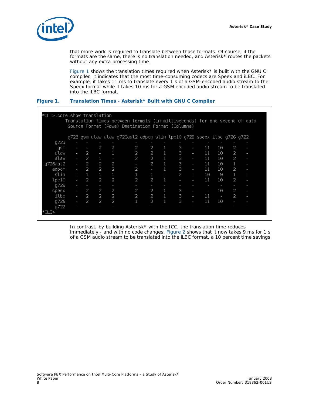

that more work is required to translate between those formats. Of course, if the formats are the same, there is no translation needed, and Asterisk\* routes the packets without any extra processing time.

[Figure 1](#page-7-0) shows the translation times required when Asterisk\* is built with the GNU C compiler. It indicates that the most time-consuming codecs are Speex and iLBC. For example, it takes 11 ms to translate every 1 s of a GSM-encoded audio stream to the Speex format while it takes 10 ms for a GSM encoded audio stream to be translated into the iLBC format.

#### <span id="page-7-0"></span>**Figure 1. Translation Times - Asterisk\* Built with GNU C Compiler**

| *CLI> core show translation |    |    |                          |              |                                                                                                                                 |   |   |   |   |    |                          |   |   |  |
|-----------------------------|----|----|--------------------------|--------------|---------------------------------------------------------------------------------------------------------------------------------|---|---|---|---|----|--------------------------|---|---|--|
|                             |    |    |                          |              | Translation times between formats (in milliseconds) for one second of data<br>Source Format (Rows) Destination Format (Columns) |   |   |   |   |    |                          |   |   |  |
|                             |    |    |                          |              |                                                                                                                                 |   |   |   |   |    |                          |   |   |  |
|                             |    |    |                          |              | g723 gsm ulaw alaw g726aal2 adpom slin lpc10 g729 speex ilbo g726 g722                                                          |   |   |   |   |    |                          |   |   |  |
| q723                        |    |    |                          |              |                                                                                                                                 |   |   |   |   |    |                          |   |   |  |
| gsm                         |    |    | 2                        | 2            | 2                                                                                                                               | 2 | 1 | З | I | 11 | 10                       | 2 | I |  |
| ulaw                        |    | -2 | $\overline{\phantom{a}}$ |              | 2                                                                                                                               | 2 |   | З | I | 11 | 10                       | 2 |   |  |
| alaw                        | I  | 2  | 1                        | I            | 2                                                                                                                               | 2 |   | З | ı | 11 | 10                       | 2 |   |  |
| q726aal2                    |    | 2  | 2                        | 2            |                                                                                                                                 | 2 |   | З | I | 11 | 10                       |   |   |  |
| adpcm                       | L. | -2 | 2                        | 2            | 2                                                                                                                               | ı |   | З | ı | 11 | 10 <sup>°</sup>          | 2 |   |  |
| slin                        |    | 1  | $\mathbf{1}$             | $\mathbf{1}$ | 1                                                                                                                               | 1 |   | 2 |   | 10 | 9                        |   |   |  |
| lpc10                       |    | 2  | 2                        | 2            | 2                                                                                                                               | 2 |   |   |   | 11 | 10                       | 2 |   |  |
| g729                        |    |    |                          |              |                                                                                                                                 |   |   |   |   |    |                          |   |   |  |
| speex                       |    | 2  | 2                        | 2            | 2                                                                                                                               | 2 |   | з |   | I  | 10                       | 2 |   |  |
| ilbc                        | ı  | 2  | 2                        | 2            | 2                                                                                                                               | 2 |   | З | I | 11 | $\overline{\phantom{a}}$ | 2 |   |  |
| q726                        |    | 2  | 2                        | 2            |                                                                                                                                 | 2 |   | з | I | 11 | 10                       |   |   |  |
| g722                        |    |    |                          |              |                                                                                                                                 |   |   |   |   |    |                          |   |   |  |
| ©IT≽                        |    |    |                          |              |                                                                                                                                 |   |   |   |   |    |                          |   |   |  |
|                             |    |    |                          |              |                                                                                                                                 |   |   |   |   |    |                          |   |   |  |

In contrast, by building Asterisk\* with the ICC, the translation time reduces immediately - and with no code changes. [Figure 2](#page-8-1) shows that it now takes 9 ms for 1 s of a GSM audio stream to be translated into the iLBC format, a 10 percent time savings.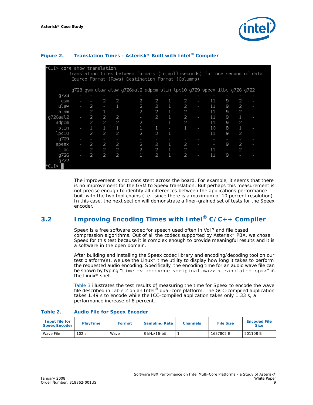

<span id="page-8-1"></span>

| Figure 2. | Translation Times - Asterisk* Built with Intel® Compiler |  |  |  |  |  |  |
|-----------|----------------------------------------------------------|--|--|--|--|--|--|
|-----------|----------------------------------------------------------|--|--|--|--|--|--|

| *CLI> core show translation |                                                                            |   |              |   |                                                                        |   |              |   |   |                 |   |   |   |  |
|-----------------------------|----------------------------------------------------------------------------|---|--------------|---|------------------------------------------------------------------------|---|--------------|---|---|-----------------|---|---|---|--|
|                             | Translation times between formats (in milliseconds) for one second of data |   |              |   |                                                                        |   |              |   |   |                 |   |   |   |  |
|                             |                                                                            |   |              |   | Source Format (Rows) Destination Format (Columns)                      |   |              |   |   |                 |   |   |   |  |
|                             |                                                                            |   |              |   |                                                                        |   |              |   |   |                 |   |   |   |  |
|                             |                                                                            |   |              |   | g723 gsm ulaw alaw g726aal2 adpom slin lpc10 g729 speex ilbo g726 g722 |   |              |   |   |                 |   |   |   |  |
| g723                        |                                                                            |   |              |   |                                                                        |   |              |   |   |                 |   |   |   |  |
| gsm                         |                                                                            |   | 2            | 2 | 2                                                                      | 2 | 1            | 2 |   | 11              | 9 | 2 |   |  |
| ulaw                        |                                                                            | 2 | I            |   | 2                                                                      | 2 | 1            | 2 |   | 11              | 9 | 2 |   |  |
| alaw                        | $\sim$                                                                     | 2 | 1            |   | 2                                                                      | 2 | $\mathbf{1}$ | 2 | ı | 11              | 9 | 2 |   |  |
| g726aal2                    | $\sim$                                                                     | 2 | 2            | 2 |                                                                        | 2 | 1            | 2 | I | 11              | 9 | 1 |   |  |
| adpcm                       | $\overline{\phantom{a}}$                                                   | 2 | 2            | 2 | 2                                                                      | I | 1            | 2 | I | 11              | 9 | 2 |   |  |
| slin                        |                                                                            | 1 | $\mathbf{1}$ |   | 1                                                                      | 1 |              |   |   | 10 <sup>°</sup> | 8 | 1 |   |  |
| lpc10                       |                                                                            | 2 | 2            | 2 | 2                                                                      | 2 | $\mathbf{1}$ |   |   | 11              | 9 | 2 | I |  |
| g729                        |                                                                            |   |              |   |                                                                        |   |              |   |   |                 |   |   |   |  |
| speex                       |                                                                            | 2 | 2            | 2 | 2                                                                      | 2 | 1            | 2 |   |                 | 9 | 2 |   |  |
| ilbc                        |                                                                            | 2 | 2            | 2 | 2                                                                      | 2 | $\mathbf{1}$ | 2 | I | 11              | I | 2 |   |  |
| g726                        | I                                                                          | 2 | 2            | 2 | 1                                                                      | 2 | $\mathbf{1}$ | 2 | I | 11              | 9 |   |   |  |
| g722                        |                                                                            |   |              |   |                                                                        |   |              |   |   |                 |   |   |   |  |
| ≫∹r i<br>- 1 >              |                                                                            |   |              |   |                                                                        |   |              |   |   |                 |   |   |   |  |
|                             |                                                                            |   |              |   |                                                                        |   |              |   |   |                 |   |   |   |  |

The improvement is not consistent across the board. For example, it seems that there is no improvement for the GSM to Speex translation. But perhaps this measurement is not precise enough to identify all differences between the applications performance built with the two tool chains (i.e., since there is a maximum of 10 percent resolution). In this case, the next section will demonstrate a finer-grained set of tests for the Speex encoder.

### <span id="page-8-0"></span>**3.2 Improving Encoding Times with Intel® C/C++ Compiler**

Speex is a free software codec for speech used often in VoIP and file based compression algorithms. Out of all the codecs supported by Asterisk\* PBX, we chose Speex for this test because it is complex enough to provide meaningful results and it is a software in the open domain.

After building and installing the Speex codec library and encoding/decoding tool on our test platform(s), we use the Linux\* time utility to display how long it takes to perform the requested audio encoding. Specifically, the encoding time for an audio wave file can be shown by typing "time -v speexenc <original.wav> <translated.spx>" in the Linux\* shell.

[Table 3](#page-9-2) illustrates the test results of measuring the time for Speex to encode the wave file described in [Table 2](#page-8-2) on an Intel® dual-core platform. The GCC-compiled application takes 1.49 s to encode while the ICC-compiled application takes only 1.33 s, a performance increase of 8 percent.

| Input file for<br><b>Speex Encoder</b> | <b>PlayTime</b>  | <b>Format</b> | <b>Sampling Rate</b> | <b>Channels</b> | <b>File Size</b> | <b>Encoded File</b><br><b>Size</b> |
|----------------------------------------|------------------|---------------|----------------------|-----------------|------------------|------------------------------------|
| Wave File                              | 102 <sub>s</sub> | Wave          | 8 kHz/16-bit         |                 | 1637802 B        | 201108 B                           |

#### <span id="page-8-2"></span>**Table 2. Audio File for Speex Encoder**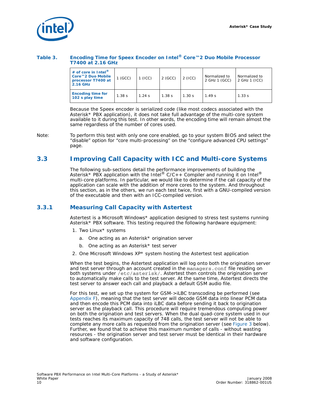

#### <span id="page-9-2"></span>**Table 3. Encoding Time for Speex Encoder on Intel® Core™2 Duo Mobile Processor T7400 at 2.16 GHz**

| # of core in Intel $^{\circledR}$<br>Core <sup>™</sup> 2 Duo Mobile<br>processor T7400 at<br>2.16 GHz | $1$ (GCC) | (ICC)    | $2$ (GCC) | $2$ (ICC) | Normalized to<br>2 GHz 1 (GCC) | Normalized to<br>2 GHz 1 (ICC) |
|-------------------------------------------------------------------------------------------------------|-----------|----------|-----------|-----------|--------------------------------|--------------------------------|
| <b>Encoding time for</b><br>102 s play time                                                           | 1.38 s    | $1.24$ s | 1.38 s    | 1.30 s    | 1.49 s                         | 1.33 s                         |

Because the Speex encoder is serialized code (like most codecs associated with the Asterisk\* PBX application), it does not take full advantage of the multi-core system available to it during this test. In other words, the encoding time will remain almost the same regardless of the number of cores used.

### <span id="page-9-0"></span>**3.3 Improving Call Capacity with ICC and Multi-core Systems**

The following sub-sections detail the performance improvements of building the Asterisk\* PBX application with the Intel® C/C++ Compiler and running it on Intel® multi-core platforms. In particular, we would like to determine if the call capacity of the application can scale with the addition of more cores to the system. And throughout this section, as in the others, we run each test twice, first with a GNU-compiled version of the executable and then with an ICC-compiled version.

### <span id="page-9-1"></span>**3.3.1 Measuring Call Capacity with Astertest**

Astertest is a Microsoft Windows\* application designed to stress test systems running Asterisk\* PBX software. This testing required the following hardware equipment:

- 1. Two Linux\* systems
	- a. One acting as an Asterisk\* origination server
	- b. One acting as an Asterisk\* test server
- 2. One Microsoft Windows XP\* system hosting the Astertest test application

When the test begins, the Astertest application will log onto both the origination server and test server through an account created in the managers.conf file residing on both systems under /etc/asterisk/. Astertest then controls the origination server to automatically make calls to the test server. At the same time, Astertest directs the test server to answer each call and playback a default GSM audio file.

For this test, we set up the system for GSM->iLBC transcoding be performed (see [Appendix F](#page-23-3)), meaning that the test server will decode GSM data into linear PCM data and then encode this PCM data into iLBC data before sending it back to origination server as the playback call. This procedure will require tremendous computing power on both the origination and test servers. When the dual quad-core system used in our tests reaches its maximum capacity of 748 calls, the test server will not be able to complete any more calls as requested from the origination server (see [Figure 3](#page-10-0) below). Further, we found that to achieve this maximum number of calls - without wasting resources - the origination server and test server must be identical in their hardware and software configuration.

*Note:* To perform this test with only one core enabled, go to your system BIOS and select the "disable" option for "core multi-processing" on the "configure advanced CPU settings" page.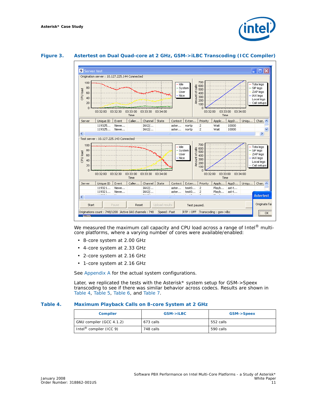#### <span id="page-10-0"></span>**Figure 3. Astertest on Dual Quad-core at 2 GHz, GSM->iLBC Transcoding (ICC Compiler)**



We measured the maximum call capacity and CPU load across a range of Intel® multicore platforms, where a varying number of cores were available/enabled:

- 8-core system at 2.00 GHz
- 4-core system at 2.33 GHz
- 2-core system at 2.16 GHz
- 1-core system at 2.16 GHz

See [Appendix A](#page-21-1) for the actual system configurations.

Later, we replicated the tests with the Asterisk\* system setup for GSM->Speex transcoding to see if there was similar behavior across codecs. Results are shown in [Table 4](#page-10-1), [Table 5,](#page-11-0) [Table 6](#page-11-1), and [Table 7.](#page-11-2)

#### <span id="page-10-1"></span>**Table 4. Maximum Playback Calls on 8-core System at 2 GHz**

| <b>Compiler</b>                     | $GSM\rightarrow ILBC$ | <b>GSM-&gt;Speex</b> |
|-------------------------------------|-----------------------|----------------------|
| GNU compiler (GCC 4.1.2)            | 673 calls             | 552 calls            |
| Intel <sup>®</sup> compiler (ICC 9) | 748 calls             | 590 calls            |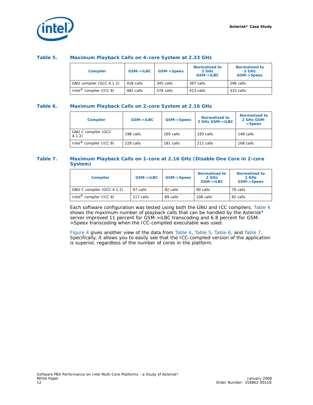

#### <span id="page-11-0"></span>**Table 5. Maximum Playback Calls on 4-core System at 2.33 GHz**

| <b>Compiler</b>                     | GSM > iLBC | <b>GSM-&gt;Speex</b> | Normalized to<br>2 GHz<br>$GSM\rightarrow ILEC$ | Normalized to<br>2 GHz<br><b>GSM-&gt;Speex</b> |
|-------------------------------------|------------|----------------------|-------------------------------------------------|------------------------------------------------|
| GNU compiler (GCC 4.1.2)            | 428 calls  | 345 calls            | 367 calls                                       | 296 calls                                      |
| Intel <sup>®</sup> compiler (ICC 9) | 482 calls  | 376 calls            | 413 calls                                       | 322 calls                                      |

#### <span id="page-11-1"></span>**Table 6. Maximum Playback Calls on 2-core System at 2.16 GHz**

| <b>Compiler</b>                     | $GSM\rightarrow ILBC$ | <b>GSM-&gt;Speex</b> | <b>Normalized to</b><br>2 GHz GSM->iLBC | Normalized to<br>2 GHz GSM-<br>$>$ Speex |
|-------------------------------------|-----------------------|----------------------|-----------------------------------------|------------------------------------------|
| GNU C compiler (GCC<br>4.1.2)       | 198 calls             | 160 calls            | 183 calls                               | 148 calls                                |
| Intel <sup>®</sup> compiler (ICC 9) | 228 calls             | 181 calls            | 211 calls                               | 168 calls                                |

#### <span id="page-11-2"></span>**Table 7. Maximum Playback Calls on 1-core at 2.16 GHz (Disable One Core in 2-core System)**

| <b>Compiler</b>                     | GSM->iLBC | <b>GSM-&gt;Speex</b> | <b>Normalized to</b><br>2 GHz<br>$GSM\rightarrow ILBC$ | Normalized to<br>2 GHz<br><b>GSM-&gt;Speex</b> |
|-------------------------------------|-----------|----------------------|--------------------------------------------------------|------------------------------------------------|
| GNU C compiler (GCC 4.1.2)          | 97 calls  | 82 calls             | 90 calls                                               | 76 calls                                       |
| Intel <sup>®</sup> compiler (ICC 9) | 117 calls | 89 calls             | 108 calls                                              | 82 calls                                       |

Each software configuration was tested using both the GNU and ICC compilers. [Table 4](#page-10-1) shows the maximum number of playback calls that can be handled by the Asterisk\* server improved 11 percent for GSM->iLBC transcoding and 6.8 percent for GSM- >Speex transcoding when the ICC-compiled executable was used.

[Figure 4](#page-12-0) gives another view of the data from [Table 4,](#page-10-1) [Table 5](#page-11-0), [Table 6,](#page-11-1) and [Table 7](#page-11-2). Specifically, it allows you to easily see that the ICC-compiled version of the application is superior, regardless of the number of cores in the platform.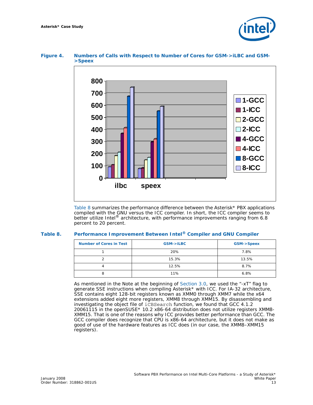



#### <span id="page-12-0"></span>**Figure 4. Numbers of Calls with Respect to Number of Cores for GSM->iLBC and GSM- >Speex**

[Table 8](#page-12-1) summarizes the performance difference between the Asterisk\* PBX applications compiled with the GNU versus the ICC compiler. In short, the ICC compiler seems to better utilize Intel® architecture, with performance improvements ranging from 6.8 percent to 20 percent.

#### <span id="page-12-1"></span>**Table 8. Performance Improvement Between Intel® Compiler and GNU Compiler**

| <b>Number of Cores in Test</b> | GSM->iLBC | <b>GSM-&gt;Speex</b> |
|--------------------------------|-----------|----------------------|
|                                | 20%       | 7.8%                 |
|                                | 15.3%     | 13.5%                |
|                                | 12.5%     | 8.7%                 |
| 8                              | 11%       | 6.8%                 |

As mentioned in the Note at the beginning of [Section 3.0,](#page-6-0) we used the "-xT" flag to generate SSE instructions when compiling Asterisk\* with ICC. For IA-32 architecture, SSE contains eight 128-bit registers known as XMM0 through XMM7 while the x64 extensions added eight more registers, XMM8 through XMM15. By disassembling and investigating the object file of iCBSearch function, we found that GCC 4.1.2 20061115 in the openSUSE\* 10.2 x86-64 distribution does not utilize registers XMM8- XMM15. That is one of the reasons why ICC provides better performance than GCC. The GCC compiler does recognize that CPU is x86-64 architecture, but it does not make as good of use of the hardware features as ICC does (in our case, the XMM8–XMM15 registers).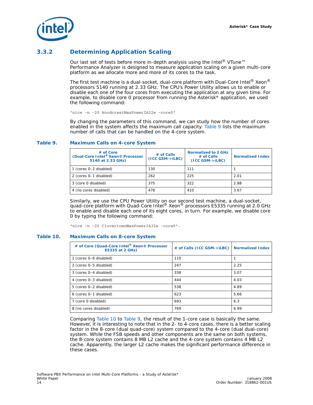

### <span id="page-13-0"></span>**3.3.2 Determining Application Scaling**

Our last set of tests before more in-depth analysis using the Intel® VTune<sup>™</sup> Performance Analyzer is designed to measure application scaling on a given multi-core platform as we allocate more and more of its cores to the task.

The first test machine is a dual-socket, dual-core platform with Dual-Core Intel<sup>®</sup> Xeon<sup>®</sup> processors 5140 running at 2.33 GHz. The CPU's Power Utility allows us to enable or disable each one of the four cores from executing the application at any given time. For example, to disable core 0 processor from running the Asterisk\* application, we used the following command:

"nice -n -20 WoodcrestMaxPowerIA32e -core0"

By changing the parameters of this command, we can study how the number of cores enabled in the system affects the maximum call capacity. [Table 9](#page-13-1) lists the maximum number of calls that can be handled on the 4-core system.

#### <span id="page-13-1"></span>**Table 9. Maximum Calls on 4-core System**

| $#$ of Core<br>(Dual-Core Intel <sup>®</sup> Xeon <sup>®</sup> Processor<br>5140 at 2.33 GHz) | $#$ of Calls<br>$(ICC$ $GSM$ -> $i$ LBC $)$ | Normalized to 2 GHz<br>$#$ of Calls<br>$(ICC$ GSM- $>$ iLBC) | <b>Normalized Index</b> |
|-----------------------------------------------------------------------------------------------|---------------------------------------------|--------------------------------------------------------------|-------------------------|
| 1 (cores 0–2 disabled)                                                                        | 130                                         | 111                                                          |                         |
| 2 (cores 0-1 disabled)                                                                        | 262                                         | 225                                                          | 2.01                    |
| 3 (core 0 disabled)                                                                           | 375                                         | 322                                                          | 2.88                    |
| 4 (no cores disabled)                                                                         | 478                                         | 410                                                          | 3.67                    |

Similarly, we use the CPU Power Utility on our second test machine, a dual-socket, quad-core platform with Quad-Core Intel<sup>®</sup> Xeon<sup>®</sup> processors E5335 running at 2.0 GHz to enable and disable each one of its eight cores, in turn. For example, we disable core 0 by typing the following command:

"nice -n -20 ClovertownMaxPowerIA32e -core0".

#### <span id="page-13-2"></span>**Table 10. Maximum Calls on 8-core System**

| # of Core (Quad-Core Intel <sup>®</sup> Xeon® Processor<br>E5335 at 2 GHz) | # of Calls (ICC GSM->iLBC) | <b>Normalized Index</b> |
|----------------------------------------------------------------------------|----------------------------|-------------------------|
| 1 (cores 0–6 disabled)                                                     | 110                        |                         |
| 2 (cores 0-5 disabled)                                                     | 247                        | 2.25                    |
| 3 (cores 0-4 disabled)                                                     | 338                        | 3.07                    |
| 4 (cores 0-3 disabled)                                                     | 444                        | 4.03                    |
| 5 (cores 0-2 disabled)                                                     | 538                        | 4.89                    |
| 6 (cores 0-1 disabled)                                                     | 623                        | 5.66                    |
| 7 (core 0 disabled)                                                        | 693                        | 6.3                     |
| 8 (no cores disabled)                                                      | 769                        | 6.99                    |

Comparing [Table 10](#page-13-2) to [Table 9,](#page-13-1) the result of the 1-core case is basically the same. However, it is interesting to note that in the 2- to 4-core cases, there is a better scaling factor in the 8-core (dual quad-core) system compared to the 4-core (dual dual-core) system. While the FSB speeds and other components are the same on both systems, the 8-core system contains 8 MB L2 cache and the 4-core system contains 4 MB L2 cache. Apparently, the larger L2 cache makes the significant performance difference in these cases.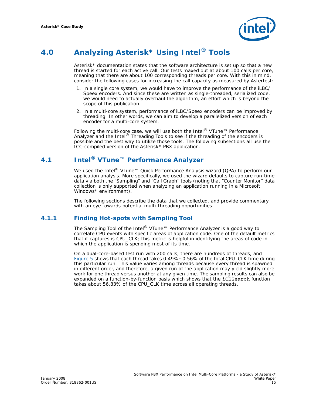

## <span id="page-14-0"></span>**4.0 Analyzing Asterisk\* Using Intel® Tools**

Asterisk\* documentation states that the software architecture is set up so that a new thread is started for each active call. Our tests maxed out at about 100 calls per core, meaning that there are about 100 corresponding threads per core. With this in mind, consider the following cases for increasing the call capacity as measured by Astertest:

- 1. In a single core system, we would have to improve the performance of the iLBC/ Speex encoders. And since these are written as single-threaded, serialized code, we would need to actually overhaul the algorithm, an effort which is beyond the scope of this publication.
- 2. In a multi-core system, performance of iLBC/Speex encoders can be improved by threading. In other words, we can aim to develop a parallelized version of each encoder for a multi-core system.

Following the multi-core case, we will use both the Intel<sup>®</sup> VTune™ Performance Analyzer and the Intel $^{\circledR}$  Threading Tools to see if the threading of the encoders is possible and the best way to utilize those tools. The following subsections all use the ICC-compiled version of the Asterisk\* PBX application.

### <span id="page-14-1"></span>**4.1 Intel® VTune™ Performance Analyzer**

We used the Intel<sup>®</sup> VTune™ Quick Performance Analysis wizard (QPA) to perform our application analysis. More specifically, we used the wizard defaults to capture run-time data via both the "Sampling" and "Call Graph" tools (noting that "Counter Monitor" data collection is only supported when analyzing an application running in a Microsoft Windows<sup>\*</sup> environment).

The following sections describe the data that we collected, and provide commentary with an eye towards potential multi-threading opportunities.

### <span id="page-14-2"></span>**4.1.1 Finding Hot-spots with Sampling Tool**

The Sampling Tool of the Intel<sup>®</sup> VTune<sup>™</sup> Performance Analyzer is a good way to correlate CPU events with specific areas of application code. One of the default metrics that it captures is CPU\_CLK; this metric is helpful in identifying the areas of code in which the application is spending most of its time.

On a dual-core-based test run with 200 calls, there are hundreds of threads, and [Figure 5](#page-15-0) shows that each thread takes 0.49%~0.56% of the total CPU\_CLK time during this particular run. This value varies among threads because every thread is spawned in different order, and therefore, a given run of the application may yield slightly more work for one thread versus another at any given time. The sampling results can also be expanded on a function-by-function basis which shows that the iCBSearch function takes about 56.83% of the CPU\_CLK time across all operating threads.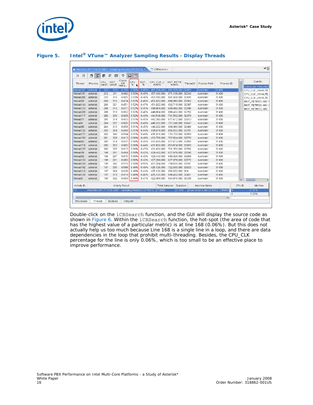

<span id="page-15-0"></span>

| Figure 5. |  | Intel <sup>®</sup> VTune <sup>™</sup> Analyzer Sampling Results - Display Threads |  |  |
|-----------|--|-----------------------------------------------------------------------------------|--|--|

| 과<br>뺏<br>同<br>星<br>ō.<br>o<br>门<br>圓<br>罒<br>₽<br>Clocks<br>Events /<br>CPU<br><b>INST</b><br>CPU CLK U<br><b>INST RETIR</b><br>CPU<br><b>INST</b><br>per<br>Process Path<br>Process ID<br>Thread<br>Process<br>ThreadID<br>%<br>%<br>sampl<br>sampl<br>events<br>events<br>Instru<br>Clocks per Instruction<br>31436<br>thread107<br>223<br>316<br>0.56%<br>0.46%<br>481.234.000<br>681,928,000 32663<br>asterisk<br>0.706<br>/usr/sbin/<br>CPU CLK UNHALTE.<br>212<br>311<br>0.682<br>0.53%<br>31436<br>thread191<br>asterisk<br>0.45%<br>457,496,000<br>671.138.000 32346<br>/usr/sbin/<br>CPU CLK UNHALTE.<br>0.665<br>0.53%<br>0.46%<br>thread206<br>210<br>316<br>453.180.000<br>681.928.000 32435<br>31436<br>asterisk<br>/usr/sbin/<br>CPU CLK UNHALTE.<br>0.674<br>0.52%<br>thread50<br>asterisk<br>209<br>310<br>0.45%<br>451.022.000<br>668.980.000 32562<br>31436<br>/usr/sbin/<br>INST RETIRED.ANY!<br>thread144<br>0.651<br>0.52%<br>0.47%<br>451,022,000<br>692,718,000 32387<br>asterisk<br>209<br>321<br>/usr/sbin/<br>31436<br>INST RETIRED.ANY 6<br>thread123<br>310<br>0.671<br>0.52%<br>0.45%<br>448,864,000<br>668.980.000 32586<br>31436<br>208<br>asterisk<br>/usr/sbin/<br>INST RETIRED.ANY<br>thread226<br>208<br>319<br>0.652<br>0.52%<br>0.46%<br>448.864.000<br>688.402.000 32750<br>31436<br>asterisk<br>/usr/sbin/<br>0.52%<br>444,548,000<br>31436<br>thread117<br>206<br>339<br>0.608<br>0.49%<br>731 562 000 32479<br>asterisk<br>/usr/sbin/<br>thread77<br>205<br>314<br>0.653<br>0.51%<br>0.45%<br>442.390.000<br>31436<br>asterisk<br>677.612.000 32613<br>/usr/sbin/<br>31436<br>thread8<br>204<br>337<br>0.605<br>0.51%<br>0.49%<br>440,232,000<br>727,246,000 32647<br>/usr/sbin/<br>asterisk<br>thread95<br>310<br>0.658<br>0.51%<br>0.45%<br>440.232.000<br>668,980,000 32489<br>31436<br>asterisk<br>204<br>/usr/sbin/<br>thread132<br>0.668<br>31436<br>asterisk<br>203<br>304<br>0.51%<br>0.44%<br>438.074.000<br>656.032.000 32701<br>/usr/sbin/<br>thread171<br>202<br>0.594<br>0.51%<br>733.720.000 32659<br>31436<br>asterisk<br>340<br>0.49%<br>435.916.000<br>/usr/sbin/<br>0.613<br>0.50%<br>0.48%<br>thread193<br>201<br>328<br>433,758,000<br>707,824,000 32570<br>31436<br>asterisk<br>/usr/sbin/<br>thread82<br>200<br>314<br>0.637<br>0.50%<br>0.45%<br>431,600,000<br>677,612,000 32450<br>31436<br>asterisk<br>/usr/sbin/<br>0.50%<br>653.874.000 32603<br>thread118<br>200<br>303<br>0.660<br>0.44%<br>431,600,000<br>31436<br>asterisk<br>/usr/sbin/<br>thread137<br>200<br>325<br>0.615<br>0.50%<br>0.47%<br>431.600.000<br>701.350.000 32766<br>31436<br>asterisk<br>/usr/sbin/<br>31436<br>thread38<br>199<br>291<br>0.684<br>0.50%<br>0.42%<br>429,442,000<br>627,978,000 32590<br>asterisk<br>/usr/sbin/<br>31436<br>thread92<br>199<br>0.670<br>0.50%<br>0.43%<br>429,442,000<br>640,926,000 32609<br>asterisk<br>297<br>/usr/sbin/<br>0.50%<br>0.42%<br>31436<br>thread134<br>asterisk<br>198<br>291<br>0.680<br>427.284.000<br>627.978.000 32572<br>/usr/sbin/<br>thread129<br>342<br>0.579<br>0.50%<br>31436<br>asterisk<br>198<br>0.50%<br>427,284,000<br>738.036.000 32501<br>/usr/sbin/<br>thread192<br>0.588<br>31436<br>asterisk<br>197<br>335<br>0.49%<br>0.49%<br>425,126,000<br>722,930,000 32623<br>/usr/sbin/<br>thread119<br>197<br>304<br>0.648<br>0.49%<br>656.032.000 304<br>31436<br>asterisk<br>0.44%<br>425.126.000<br>/usr/sbin/<br>thread120<br>197<br>0.618<br>0.49%<br>425,126,000<br>688,402,000 32421<br>31436<br>asterisk<br>319<br>0.46%<br>/usr/sbin/<br>thread9<br>196<br>322<br>0.609<br>0.49%<br>0.47%<br>422.968.000<br>31436<br>694.876.000 32338<br>asterisk<br>/usr/sbin/<br>$\overline{\phantom{0}}$<br>HE<br>CPU ID<br>Activity ID<br>Activity Result<br><b>Total Samples</b><br>Machine Name<br>Idle time<br>Duration<br>12<br>Wed Nov 28 17:14:20 2007 - Sampling Results [127.0.0.1]<br>110899<br>21.516<br>linux-core2-1-ws127.0.0.2<br>Intel(R)<br>1.31%<br>10<br>1.23%<br>1<br>w<br>▸<br>Processes<br>Threads<br>Modules<br>Hotspots | Wed Nov 28 17:14:20 2007 - Sampling Results [127.0.0.1] X |  |  |  | iCBSearch.c |  |  |  | ۵Ã                       |
|------------------------------------------------------------------------------------------------------------------------------------------------------------------------------------------------------------------------------------------------------------------------------------------------------------------------------------------------------------------------------------------------------------------------------------------------------------------------------------------------------------------------------------------------------------------------------------------------------------------------------------------------------------------------------------------------------------------------------------------------------------------------------------------------------------------------------------------------------------------------------------------------------------------------------------------------------------------------------------------------------------------------------------------------------------------------------------------------------------------------------------------------------------------------------------------------------------------------------------------------------------------------------------------------------------------------------------------------------------------------------------------------------------------------------------------------------------------------------------------------------------------------------------------------------------------------------------------------------------------------------------------------------------------------------------------------------------------------------------------------------------------------------------------------------------------------------------------------------------------------------------------------------------------------------------------------------------------------------------------------------------------------------------------------------------------------------------------------------------------------------------------------------------------------------------------------------------------------------------------------------------------------------------------------------------------------------------------------------------------------------------------------------------------------------------------------------------------------------------------------------------------------------------------------------------------------------------------------------------------------------------------------------------------------------------------------------------------------------------------------------------------------------------------------------------------------------------------------------------------------------------------------------------------------------------------------------------------------------------------------------------------------------------------------------------------------------------------------------------------------------------------------------------------------------------------------------------------------------------------------------------------------------------------------------------------------------------------------------------------------------------------------------------------------------------------------------------------------------------------------------------------------------------------------------------------------------------------------------------------------------------------------------------------------------------------------------------------------------------------------------------------------------------------------------------------------------------------------------------------------------------------------------------------------------------------------------------------------------------------------------------------------------------------------------|-----------------------------------------------------------|--|--|--|-------------|--|--|--|--------------------------|
|                                                                                                                                                                                                                                                                                                                                                                                                                                                                                                                                                                                                                                                                                                                                                                                                                                                                                                                                                                                                                                                                                                                                                                                                                                                                                                                                                                                                                                                                                                                                                                                                                                                                                                                                                                                                                                                                                                                                                                                                                                                                                                                                                                                                                                                                                                                                                                                                                                                                                                                                                                                                                                                                                                                                                                                                                                                                                                                                                                                                                                                                                                                                                                                                                                                                                                                                                                                                                                                                                                                                                                                                                                                                                                                                                                                                                                                                                                                                                                                                                                                      |                                                           |  |  |  |             |  |  |  |                          |
|                                                                                                                                                                                                                                                                                                                                                                                                                                                                                                                                                                                                                                                                                                                                                                                                                                                                                                                                                                                                                                                                                                                                                                                                                                                                                                                                                                                                                                                                                                                                                                                                                                                                                                                                                                                                                                                                                                                                                                                                                                                                                                                                                                                                                                                                                                                                                                                                                                                                                                                                                                                                                                                                                                                                                                                                                                                                                                                                                                                                                                                                                                                                                                                                                                                                                                                                                                                                                                                                                                                                                                                                                                                                                                                                                                                                                                                                                                                                                                                                                                                      |                                                           |  |  |  |             |  |  |  |                          |
|                                                                                                                                                                                                                                                                                                                                                                                                                                                                                                                                                                                                                                                                                                                                                                                                                                                                                                                                                                                                                                                                                                                                                                                                                                                                                                                                                                                                                                                                                                                                                                                                                                                                                                                                                                                                                                                                                                                                                                                                                                                                                                                                                                                                                                                                                                                                                                                                                                                                                                                                                                                                                                                                                                                                                                                                                                                                                                                                                                                                                                                                                                                                                                                                                                                                                                                                                                                                                                                                                                                                                                                                                                                                                                                                                                                                                                                                                                                                                                                                                                                      |                                                           |  |  |  |             |  |  |  |                          |
|                                                                                                                                                                                                                                                                                                                                                                                                                                                                                                                                                                                                                                                                                                                                                                                                                                                                                                                                                                                                                                                                                                                                                                                                                                                                                                                                                                                                                                                                                                                                                                                                                                                                                                                                                                                                                                                                                                                                                                                                                                                                                                                                                                                                                                                                                                                                                                                                                                                                                                                                                                                                                                                                                                                                                                                                                                                                                                                                                                                                                                                                                                                                                                                                                                                                                                                                                                                                                                                                                                                                                                                                                                                                                                                                                                                                                                                                                                                                                                                                                                                      |                                                           |  |  |  |             |  |  |  |                          |
|                                                                                                                                                                                                                                                                                                                                                                                                                                                                                                                                                                                                                                                                                                                                                                                                                                                                                                                                                                                                                                                                                                                                                                                                                                                                                                                                                                                                                                                                                                                                                                                                                                                                                                                                                                                                                                                                                                                                                                                                                                                                                                                                                                                                                                                                                                                                                                                                                                                                                                                                                                                                                                                                                                                                                                                                                                                                                                                                                                                                                                                                                                                                                                                                                                                                                                                                                                                                                                                                                                                                                                                                                                                                                                                                                                                                                                                                                                                                                                                                                                                      |                                                           |  |  |  |             |  |  |  |                          |
|                                                                                                                                                                                                                                                                                                                                                                                                                                                                                                                                                                                                                                                                                                                                                                                                                                                                                                                                                                                                                                                                                                                                                                                                                                                                                                                                                                                                                                                                                                                                                                                                                                                                                                                                                                                                                                                                                                                                                                                                                                                                                                                                                                                                                                                                                                                                                                                                                                                                                                                                                                                                                                                                                                                                                                                                                                                                                                                                                                                                                                                                                                                                                                                                                                                                                                                                                                                                                                                                                                                                                                                                                                                                                                                                                                                                                                                                                                                                                                                                                                                      |                                                           |  |  |  |             |  |  |  |                          |
|                                                                                                                                                                                                                                                                                                                                                                                                                                                                                                                                                                                                                                                                                                                                                                                                                                                                                                                                                                                                                                                                                                                                                                                                                                                                                                                                                                                                                                                                                                                                                                                                                                                                                                                                                                                                                                                                                                                                                                                                                                                                                                                                                                                                                                                                                                                                                                                                                                                                                                                                                                                                                                                                                                                                                                                                                                                                                                                                                                                                                                                                                                                                                                                                                                                                                                                                                                                                                                                                                                                                                                                                                                                                                                                                                                                                                                                                                                                                                                                                                                                      |                                                           |  |  |  |             |  |  |  |                          |
|                                                                                                                                                                                                                                                                                                                                                                                                                                                                                                                                                                                                                                                                                                                                                                                                                                                                                                                                                                                                                                                                                                                                                                                                                                                                                                                                                                                                                                                                                                                                                                                                                                                                                                                                                                                                                                                                                                                                                                                                                                                                                                                                                                                                                                                                                                                                                                                                                                                                                                                                                                                                                                                                                                                                                                                                                                                                                                                                                                                                                                                                                                                                                                                                                                                                                                                                                                                                                                                                                                                                                                                                                                                                                                                                                                                                                                                                                                                                                                                                                                                      |                                                           |  |  |  |             |  |  |  |                          |
|                                                                                                                                                                                                                                                                                                                                                                                                                                                                                                                                                                                                                                                                                                                                                                                                                                                                                                                                                                                                                                                                                                                                                                                                                                                                                                                                                                                                                                                                                                                                                                                                                                                                                                                                                                                                                                                                                                                                                                                                                                                                                                                                                                                                                                                                                                                                                                                                                                                                                                                                                                                                                                                                                                                                                                                                                                                                                                                                                                                                                                                                                                                                                                                                                                                                                                                                                                                                                                                                                                                                                                                                                                                                                                                                                                                                                                                                                                                                                                                                                                                      |                                                           |  |  |  |             |  |  |  |                          |
|                                                                                                                                                                                                                                                                                                                                                                                                                                                                                                                                                                                                                                                                                                                                                                                                                                                                                                                                                                                                                                                                                                                                                                                                                                                                                                                                                                                                                                                                                                                                                                                                                                                                                                                                                                                                                                                                                                                                                                                                                                                                                                                                                                                                                                                                                                                                                                                                                                                                                                                                                                                                                                                                                                                                                                                                                                                                                                                                                                                                                                                                                                                                                                                                                                                                                                                                                                                                                                                                                                                                                                                                                                                                                                                                                                                                                                                                                                                                                                                                                                                      |                                                           |  |  |  |             |  |  |  |                          |
|                                                                                                                                                                                                                                                                                                                                                                                                                                                                                                                                                                                                                                                                                                                                                                                                                                                                                                                                                                                                                                                                                                                                                                                                                                                                                                                                                                                                                                                                                                                                                                                                                                                                                                                                                                                                                                                                                                                                                                                                                                                                                                                                                                                                                                                                                                                                                                                                                                                                                                                                                                                                                                                                                                                                                                                                                                                                                                                                                                                                                                                                                                                                                                                                                                                                                                                                                                                                                                                                                                                                                                                                                                                                                                                                                                                                                                                                                                                                                                                                                                                      |                                                           |  |  |  |             |  |  |  |                          |
|                                                                                                                                                                                                                                                                                                                                                                                                                                                                                                                                                                                                                                                                                                                                                                                                                                                                                                                                                                                                                                                                                                                                                                                                                                                                                                                                                                                                                                                                                                                                                                                                                                                                                                                                                                                                                                                                                                                                                                                                                                                                                                                                                                                                                                                                                                                                                                                                                                                                                                                                                                                                                                                                                                                                                                                                                                                                                                                                                                                                                                                                                                                                                                                                                                                                                                                                                                                                                                                                                                                                                                                                                                                                                                                                                                                                                                                                                                                                                                                                                                                      |                                                           |  |  |  |             |  |  |  |                          |
|                                                                                                                                                                                                                                                                                                                                                                                                                                                                                                                                                                                                                                                                                                                                                                                                                                                                                                                                                                                                                                                                                                                                                                                                                                                                                                                                                                                                                                                                                                                                                                                                                                                                                                                                                                                                                                                                                                                                                                                                                                                                                                                                                                                                                                                                                                                                                                                                                                                                                                                                                                                                                                                                                                                                                                                                                                                                                                                                                                                                                                                                                                                                                                                                                                                                                                                                                                                                                                                                                                                                                                                                                                                                                                                                                                                                                                                                                                                                                                                                                                                      |                                                           |  |  |  |             |  |  |  |                          |
|                                                                                                                                                                                                                                                                                                                                                                                                                                                                                                                                                                                                                                                                                                                                                                                                                                                                                                                                                                                                                                                                                                                                                                                                                                                                                                                                                                                                                                                                                                                                                                                                                                                                                                                                                                                                                                                                                                                                                                                                                                                                                                                                                                                                                                                                                                                                                                                                                                                                                                                                                                                                                                                                                                                                                                                                                                                                                                                                                                                                                                                                                                                                                                                                                                                                                                                                                                                                                                                                                                                                                                                                                                                                                                                                                                                                                                                                                                                                                                                                                                                      |                                                           |  |  |  |             |  |  |  |                          |
|                                                                                                                                                                                                                                                                                                                                                                                                                                                                                                                                                                                                                                                                                                                                                                                                                                                                                                                                                                                                                                                                                                                                                                                                                                                                                                                                                                                                                                                                                                                                                                                                                                                                                                                                                                                                                                                                                                                                                                                                                                                                                                                                                                                                                                                                                                                                                                                                                                                                                                                                                                                                                                                                                                                                                                                                                                                                                                                                                                                                                                                                                                                                                                                                                                                                                                                                                                                                                                                                                                                                                                                                                                                                                                                                                                                                                                                                                                                                                                                                                                                      |                                                           |  |  |  |             |  |  |  |                          |
|                                                                                                                                                                                                                                                                                                                                                                                                                                                                                                                                                                                                                                                                                                                                                                                                                                                                                                                                                                                                                                                                                                                                                                                                                                                                                                                                                                                                                                                                                                                                                                                                                                                                                                                                                                                                                                                                                                                                                                                                                                                                                                                                                                                                                                                                                                                                                                                                                                                                                                                                                                                                                                                                                                                                                                                                                                                                                                                                                                                                                                                                                                                                                                                                                                                                                                                                                                                                                                                                                                                                                                                                                                                                                                                                                                                                                                                                                                                                                                                                                                                      |                                                           |  |  |  |             |  |  |  |                          |
|                                                                                                                                                                                                                                                                                                                                                                                                                                                                                                                                                                                                                                                                                                                                                                                                                                                                                                                                                                                                                                                                                                                                                                                                                                                                                                                                                                                                                                                                                                                                                                                                                                                                                                                                                                                                                                                                                                                                                                                                                                                                                                                                                                                                                                                                                                                                                                                                                                                                                                                                                                                                                                                                                                                                                                                                                                                                                                                                                                                                                                                                                                                                                                                                                                                                                                                                                                                                                                                                                                                                                                                                                                                                                                                                                                                                                                                                                                                                                                                                                                                      |                                                           |  |  |  |             |  |  |  |                          |
|                                                                                                                                                                                                                                                                                                                                                                                                                                                                                                                                                                                                                                                                                                                                                                                                                                                                                                                                                                                                                                                                                                                                                                                                                                                                                                                                                                                                                                                                                                                                                                                                                                                                                                                                                                                                                                                                                                                                                                                                                                                                                                                                                                                                                                                                                                                                                                                                                                                                                                                                                                                                                                                                                                                                                                                                                                                                                                                                                                                                                                                                                                                                                                                                                                                                                                                                                                                                                                                                                                                                                                                                                                                                                                                                                                                                                                                                                                                                                                                                                                                      |                                                           |  |  |  |             |  |  |  |                          |
|                                                                                                                                                                                                                                                                                                                                                                                                                                                                                                                                                                                                                                                                                                                                                                                                                                                                                                                                                                                                                                                                                                                                                                                                                                                                                                                                                                                                                                                                                                                                                                                                                                                                                                                                                                                                                                                                                                                                                                                                                                                                                                                                                                                                                                                                                                                                                                                                                                                                                                                                                                                                                                                                                                                                                                                                                                                                                                                                                                                                                                                                                                                                                                                                                                                                                                                                                                                                                                                                                                                                                                                                                                                                                                                                                                                                                                                                                                                                                                                                                                                      |                                                           |  |  |  |             |  |  |  |                          |
|                                                                                                                                                                                                                                                                                                                                                                                                                                                                                                                                                                                                                                                                                                                                                                                                                                                                                                                                                                                                                                                                                                                                                                                                                                                                                                                                                                                                                                                                                                                                                                                                                                                                                                                                                                                                                                                                                                                                                                                                                                                                                                                                                                                                                                                                                                                                                                                                                                                                                                                                                                                                                                                                                                                                                                                                                                                                                                                                                                                                                                                                                                                                                                                                                                                                                                                                                                                                                                                                                                                                                                                                                                                                                                                                                                                                                                                                                                                                                                                                                                                      |                                                           |  |  |  |             |  |  |  |                          |
|                                                                                                                                                                                                                                                                                                                                                                                                                                                                                                                                                                                                                                                                                                                                                                                                                                                                                                                                                                                                                                                                                                                                                                                                                                                                                                                                                                                                                                                                                                                                                                                                                                                                                                                                                                                                                                                                                                                                                                                                                                                                                                                                                                                                                                                                                                                                                                                                                                                                                                                                                                                                                                                                                                                                                                                                                                                                                                                                                                                                                                                                                                                                                                                                                                                                                                                                                                                                                                                                                                                                                                                                                                                                                                                                                                                                                                                                                                                                                                                                                                                      |                                                           |  |  |  |             |  |  |  |                          |
|                                                                                                                                                                                                                                                                                                                                                                                                                                                                                                                                                                                                                                                                                                                                                                                                                                                                                                                                                                                                                                                                                                                                                                                                                                                                                                                                                                                                                                                                                                                                                                                                                                                                                                                                                                                                                                                                                                                                                                                                                                                                                                                                                                                                                                                                                                                                                                                                                                                                                                                                                                                                                                                                                                                                                                                                                                                                                                                                                                                                                                                                                                                                                                                                                                                                                                                                                                                                                                                                                                                                                                                                                                                                                                                                                                                                                                                                                                                                                                                                                                                      |                                                           |  |  |  |             |  |  |  |                          |
|                                                                                                                                                                                                                                                                                                                                                                                                                                                                                                                                                                                                                                                                                                                                                                                                                                                                                                                                                                                                                                                                                                                                                                                                                                                                                                                                                                                                                                                                                                                                                                                                                                                                                                                                                                                                                                                                                                                                                                                                                                                                                                                                                                                                                                                                                                                                                                                                                                                                                                                                                                                                                                                                                                                                                                                                                                                                                                                                                                                                                                                                                                                                                                                                                                                                                                                                                                                                                                                                                                                                                                                                                                                                                                                                                                                                                                                                                                                                                                                                                                                      |                                                           |  |  |  |             |  |  |  |                          |
|                                                                                                                                                                                                                                                                                                                                                                                                                                                                                                                                                                                                                                                                                                                                                                                                                                                                                                                                                                                                                                                                                                                                                                                                                                                                                                                                                                                                                                                                                                                                                                                                                                                                                                                                                                                                                                                                                                                                                                                                                                                                                                                                                                                                                                                                                                                                                                                                                                                                                                                                                                                                                                                                                                                                                                                                                                                                                                                                                                                                                                                                                                                                                                                                                                                                                                                                                                                                                                                                                                                                                                                                                                                                                                                                                                                                                                                                                                                                                                                                                                                      |                                                           |  |  |  |             |  |  |  |                          |
|                                                                                                                                                                                                                                                                                                                                                                                                                                                                                                                                                                                                                                                                                                                                                                                                                                                                                                                                                                                                                                                                                                                                                                                                                                                                                                                                                                                                                                                                                                                                                                                                                                                                                                                                                                                                                                                                                                                                                                                                                                                                                                                                                                                                                                                                                                                                                                                                                                                                                                                                                                                                                                                                                                                                                                                                                                                                                                                                                                                                                                                                                                                                                                                                                                                                                                                                                                                                                                                                                                                                                                                                                                                                                                                                                                                                                                                                                                                                                                                                                                                      |                                                           |  |  |  |             |  |  |  |                          |
|                                                                                                                                                                                                                                                                                                                                                                                                                                                                                                                                                                                                                                                                                                                                                                                                                                                                                                                                                                                                                                                                                                                                                                                                                                                                                                                                                                                                                                                                                                                                                                                                                                                                                                                                                                                                                                                                                                                                                                                                                                                                                                                                                                                                                                                                                                                                                                                                                                                                                                                                                                                                                                                                                                                                                                                                                                                                                                                                                                                                                                                                                                                                                                                                                                                                                                                                                                                                                                                                                                                                                                                                                                                                                                                                                                                                                                                                                                                                                                                                                                                      |                                                           |  |  |  |             |  |  |  |                          |
|                                                                                                                                                                                                                                                                                                                                                                                                                                                                                                                                                                                                                                                                                                                                                                                                                                                                                                                                                                                                                                                                                                                                                                                                                                                                                                                                                                                                                                                                                                                                                                                                                                                                                                                                                                                                                                                                                                                                                                                                                                                                                                                                                                                                                                                                                                                                                                                                                                                                                                                                                                                                                                                                                                                                                                                                                                                                                                                                                                                                                                                                                                                                                                                                                                                                                                                                                                                                                                                                                                                                                                                                                                                                                                                                                                                                                                                                                                                                                                                                                                                      |                                                           |  |  |  |             |  |  |  | $\overline{\phantom{0}}$ |
|                                                                                                                                                                                                                                                                                                                                                                                                                                                                                                                                                                                                                                                                                                                                                                                                                                                                                                                                                                                                                                                                                                                                                                                                                                                                                                                                                                                                                                                                                                                                                                                                                                                                                                                                                                                                                                                                                                                                                                                                                                                                                                                                                                                                                                                                                                                                                                                                                                                                                                                                                                                                                                                                                                                                                                                                                                                                                                                                                                                                                                                                                                                                                                                                                                                                                                                                                                                                                                                                                                                                                                                                                                                                                                                                                                                                                                                                                                                                                                                                                                                      |                                                           |  |  |  |             |  |  |  |                          |
|                                                                                                                                                                                                                                                                                                                                                                                                                                                                                                                                                                                                                                                                                                                                                                                                                                                                                                                                                                                                                                                                                                                                                                                                                                                                                                                                                                                                                                                                                                                                                                                                                                                                                                                                                                                                                                                                                                                                                                                                                                                                                                                                                                                                                                                                                                                                                                                                                                                                                                                                                                                                                                                                                                                                                                                                                                                                                                                                                                                                                                                                                                                                                                                                                                                                                                                                                                                                                                                                                                                                                                                                                                                                                                                                                                                                                                                                                                                                                                                                                                                      |                                                           |  |  |  |             |  |  |  |                          |
|                                                                                                                                                                                                                                                                                                                                                                                                                                                                                                                                                                                                                                                                                                                                                                                                                                                                                                                                                                                                                                                                                                                                                                                                                                                                                                                                                                                                                                                                                                                                                                                                                                                                                                                                                                                                                                                                                                                                                                                                                                                                                                                                                                                                                                                                                                                                                                                                                                                                                                                                                                                                                                                                                                                                                                                                                                                                                                                                                                                                                                                                                                                                                                                                                                                                                                                                                                                                                                                                                                                                                                                                                                                                                                                                                                                                                                                                                                                                                                                                                                                      |                                                           |  |  |  |             |  |  |  |                          |
|                                                                                                                                                                                                                                                                                                                                                                                                                                                                                                                                                                                                                                                                                                                                                                                                                                                                                                                                                                                                                                                                                                                                                                                                                                                                                                                                                                                                                                                                                                                                                                                                                                                                                                                                                                                                                                                                                                                                                                                                                                                                                                                                                                                                                                                                                                                                                                                                                                                                                                                                                                                                                                                                                                                                                                                                                                                                                                                                                                                                                                                                                                                                                                                                                                                                                                                                                                                                                                                                                                                                                                                                                                                                                                                                                                                                                                                                                                                                                                                                                                                      |                                                           |  |  |  |             |  |  |  |                          |
|                                                                                                                                                                                                                                                                                                                                                                                                                                                                                                                                                                                                                                                                                                                                                                                                                                                                                                                                                                                                                                                                                                                                                                                                                                                                                                                                                                                                                                                                                                                                                                                                                                                                                                                                                                                                                                                                                                                                                                                                                                                                                                                                                                                                                                                                                                                                                                                                                                                                                                                                                                                                                                                                                                                                                                                                                                                                                                                                                                                                                                                                                                                                                                                                                                                                                                                                                                                                                                                                                                                                                                                                                                                                                                                                                                                                                                                                                                                                                                                                                                                      |                                                           |  |  |  |             |  |  |  |                          |

Double-click on the iCBSearch function, and the GUI will display the source code as shown in [Figure 6.](#page-16-0) Within the iCBSearch function, the hot-spot (the area of code that has the highest value of a particular metric) is at line 168 (0.06%). But this does not actually help us too much because Line 168 is a single line in a loop, and there are data dependencies in the loop that prohibit multi-threading. Besides, the CPU\_CLK percentage for the line is only 0.06%, which is too small to be an effective place to improve performance.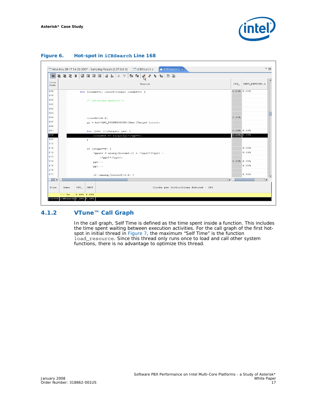

| $\equiv$     | <b>再看看目は「ははし」はなる ☆ はんでん ありをする でんてい</b> |     |              |                                                                                                                                                                                                       |                 |  |  |  |        |  | ? 题 |  |  |                                       |                       |                               |
|--------------|----------------------------------------|-----|--------------|-------------------------------------------------------------------------------------------------------------------------------------------------------------------------------------------------------|-----------------|--|--|--|--------|--|-----|--|--|---------------------------------------|-----------------------|-------------------------------|
| Line<br>Numb |                                        |     |              |                                                                                                                                                                                                       |                 |  |  |  | Source |  |     |  |  |                                       |                       | CPU_ INST_RETIRED.A           |
| 158          |                                        |     |              | for (icount=1; icount <range; icount++)="" td="" {<=""><td></td><td></td><td></td><td></td><td></td><td></td><td></td><td></td><td></td><td></td><td></td><td><math>0.02\%</math> 0.00%</td></range;> |                 |  |  |  |        |  |     |  |  |                                       |                       | $0.02\%$ 0.00%                |
| 159          |                                        |     |              |                                                                                                                                                                                                       |                 |  |  |  |        |  |     |  |  |                                       |                       |                               |
| 160          |                                        |     |              | /* calculate measure $*/$                                                                                                                                                                             |                 |  |  |  |        |  |     |  |  |                                       |                       |                               |
| 161          |                                        |     |              |                                                                                                                                                                                                       |                 |  |  |  |        |  |     |  |  |                                       |                       |                               |
| 162          |                                        |     |              |                                                                                                                                                                                                       |                 |  |  |  |        |  |     |  |  |                                       |                       |                               |
| 163          |                                        |     |              |                                                                                                                                                                                                       |                 |  |  |  |        |  |     |  |  |                                       |                       |                               |
| 164          |                                        |     |              | $crossDot=0.0;$                                                                                                                                                                                       |                 |  |  |  |        |  |     |  |  |                                       | 0.00%                 |                               |
| 165          |                                        |     |              | pp = buf+LPC_FILTERORDER+1Mem-1Target-icount;                                                                                                                                                         |                 |  |  |  |        |  |     |  |  |                                       |                       |                               |
| 166          |                                        |     |              |                                                                                                                                                                                                       |                 |  |  |  |        |  |     |  |  |                                       |                       |                               |
| 167          |                                        |     |              | for $(j=0; j<1Target; j++)$ {                                                                                                                                                                         |                 |  |  |  |        |  |     |  |  |                                       |                       | $0.06%$ $0.04%$               |
| 168          |                                        |     |              | $crossDot == target[j] * (*pp++)$ ;                                                                                                                                                                   |                 |  |  |  |        |  |     |  |  |                                       |                       | $0.06%$ 0.09%                 |
| 169          |                                        |     | $\mathbf{1}$ |                                                                                                                                                                                                       |                 |  |  |  |        |  |     |  |  |                                       |                       |                               |
| 170          |                                        |     |              |                                                                                                                                                                                                       |                 |  |  |  |        |  |     |  |  |                                       |                       |                               |
| 171          |                                        |     |              | if $(stage == 0)$ {                                                                                                                                                                                   |                 |  |  |  |        |  |     |  |  |                                       |                       | 0.00%                         |
| 172          |                                        |     |              | *ppe++ = energy [icount-1] + $(*ppi)*(*ppi)$ .                                                                                                                                                        |                 |  |  |  |        |  |     |  |  |                                       |                       | 0.01%                         |
| 173          |                                        |     |              |                                                                                                                                                                                                       | $(*ppo)*(ppo);$ |  |  |  |        |  |     |  |  |                                       |                       |                               |
| 174          |                                        |     |              | $ppo-1$                                                                                                                                                                                               |                 |  |  |  |        |  |     |  |  |                                       |                       | 0.00%0.00%                    |
| 175          |                                        |     |              | $ppi \cdot \cdot$ ;                                                                                                                                                                                   |                 |  |  |  |        |  |     |  |  |                                       |                       | 0.00%                         |
| 176          |                                        |     |              |                                                                                                                                                                                                       |                 |  |  |  |        |  |     |  |  |                                       |                       |                               |
| 177          |                                        |     |              | if (energy[icount]>0.0) {                                                                                                                                                                             |                 |  |  |  |        |  |     |  |  |                                       |                       | 0.00%                         |
|              |                                        |     |              | 33                                                                                                                                                                                                    |                 |  |  |  |        |  |     |  |  |                                       | $\blacktriangleright$ | -333<br>$\blacktriangleright$ |
| Size         | Name                                   | CPU | INST         |                                                                                                                                                                                                       |                 |  |  |  |        |  |     |  |  | Clocks per Instructions Retired - CPI |                       |                               |

#### <span id="page-16-0"></span>**Figure 6. Hot-spot in iCBSearch Line 168**

### <span id="page-16-1"></span>**4.1.2 VTune™ Call Graph**

In the call graph, Self Time is defined as the time spent inside a function. This includes the time spent waiting between execution activities. For the call graph of the first hotspot in initial thread in [Figure 7](#page-17-0), the maximum "Self Time" is the function load\_resource. Since this thread only runs once to load and call other system functions, there is no advantage to optimize this thread.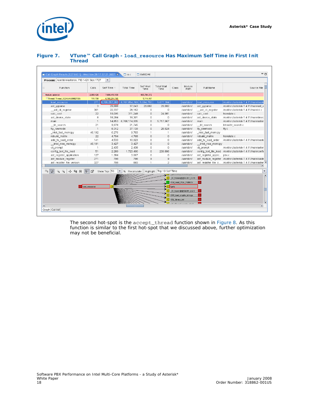

<span id="page-17-0"></span>

|                            |                                              | Process: /usr/sbin/asterisk; PID:1421;Size:1727 |                   | $\blacktriangledown$ |        |                                       |                   |                             |                  |                            |                     |                                                             |
|----------------------------|----------------------------------------------|-------------------------------------------------|-------------------|----------------------|--------|---------------------------------------|-------------------|-----------------------------|------------------|----------------------------|---------------------|-------------------------------------------------------------|
|                            | Function                                     |                                                 | Calls             | Self Time T          |        | <b>Total Time</b>                     | Self Wait<br>Time | <b>Total Wait</b><br>Time   | Class            | Module<br>Path             | Full Name           | Source File                                                 |
|                            | Module: asterisk                             |                                                 | 2,088,426         | 7,606,416,130        |        |                                       | 903,784,372       |                             |                  |                            |                     |                                                             |
|                            | Thread: Thread_0(2AAAAD8B2150)               |                                                 | 111,758           | 6,705,214,795        |        |                                       | 5.114.487         |                             |                  |                            |                     |                                                             |
|                            | load resource                                |                                                 | 271               | 6.705.057.283        |        | 6.707.854.769 5.084.750               |                   | 5.677.384                   |                  | /usr/sbin/                 | load resource       | /root/src/asterisk-1.4.11/main/loade                        |
|                            | ast yyparse                                  |                                                 |                   | 3                    | 29.688 | 37.043                                | 29.682            | 29.682                      |                  | /usr/sbin/                 | ast yyparse         | /root/src/asterisk-1.4.11/main/ast €                        |
|                            | ast cli register                             |                                                 | 301               |                      | 22,337 | 28.162                                | $\circ$           | $\circ$                     |                  | /usr/sbin/                 | ast cli register    | /root/src/asterisk-1.4.11/main/cli.c                        |
|                            | calc cost                                    |                                                 |                   | 22                   | 19.095 | 311.248                               | $\circ$           | 24.981                      |                  | /usr/sbin/                 | calc cost           | translate.c                                                 |
|                            | ast device state                             |                                                 |                   | 8                    | 18,284 | 18,301                                | $\circ$           | O                           |                  | /usr/sbin/                 | ast device state    | /root/src/asterisk-1.4.11/main/devic                        |
|                            | main                                         |                                                 |                   | $\mathbf{1}$         | 14,853 | 6,708,174,935                         | $\circ$           | 5.717.967                   |                  | /usr/sbin/                 | main                | /root/src/asterisk-1.4.11/main/aster                        |
|                            | bt search                                    |                                                 |                   | 21                   | 9.978  | 21.745                                | $\circ$           | O                           |                  | /usr/sbin/                 | __bt_search         | btree/bt search.c                                           |
|                            | tty rawmode                                  |                                                 |                   | $\overline{1}$       | 8,312  | 37,139                                | $\circ$           | 28.824                      |                  | /usr/sbin/                 | tty rawmode         | tty.c                                                       |
|                            | intel fast memcpy                            |                                                 | 46.192            |                      | 6,276  | 9,703                                 | $\overline{1}$    |                             |                  | /usr/sbin/                 | intel fast memopy   |                                                             |
|                            | rebuild matrix                               |                                                 |                   | 22                   | 4.704  | 4.768                                 | $\circ$           | $\circ$                     |                  | /usr/sbin/                 | rebuild matrix      | translate.c                                                 |
|                            | add to load order                            |                                                 | 141               |                      | 4,533  | 10,923                                | 0                 | 0                           |                  | /usr/sbin/                 | add to load order   | /root/src/asterisk-1.4.11/main/loade                        |
|                            | intel new memcpy                             |                                                 | 46,191            |                      | 3,427  | 3,427                                 | $\circ$           | $\circ$                     |                  | /usr/sbin/                 | intel new memcpy    |                                                             |
|                            | cli prompt                                   |                                                 |                   | 1                    | 2.435  | 2.438                                 | $\circ$           | O                           |                  | /usr/sbin/                 | cli prompt          | /root/src/asterisk-1.4.11/main/aster                        |
|                            | config text file load                        |                                                 |                   | 51                   | 2,289  | 1,723,490                             | $\circ$           | 239,806                     |                  | /usr/sbin/                 |                     | config text file load /root/src/asterisk-1.4.11/main/config |
|                            | ast register application                     |                                                 | 127               |                      | 1.384  | 3.067                                 | $\circ$           | $\circ$                     |                  | /usr/sbin/                 | ast register applic | pbx.c                                                       |
|                            | ast module register                          |                                                 | 271               |                      | 798    | 798                                   | $\mathcal{G}$     | $\mathcal{L}$               |                  | /usr/sbin/                 |                     | ast module register /root/src/asterisk-1.4.11/main/loade    |
|                            | ast register file version                    |                                                 | 327               |                      | 708    | 893                                   | $\mathbf{1}$      | 2                           |                  | /usr/sbin/                 |                     | ast register file v /root/src/asterisk-1.4.11/main/aster    |
|                            |                                              |                                                 |                   |                      |        |                                       |                   |                             |                  |                            |                     |                                                             |
| $\mathbb{C}^{\mathcal{G}}$ | $\mathfrak{a}$<br>$\oplus$<br>$\mathfrak{a}$ | 山偏田                                             | 呼<br>$\mathbb{R}$ | Show Top: 50         |        | % Recalculate<br>$\blacktriangledown$ |                   | Highlight: Top 10 Self Time |                  |                            |                     |                                                             |
|                            |                                              |                                                 |                   |                      |        |                                       |                   |                             |                  | parameter interestent pain |                     |                                                             |
|                            |                                              |                                                 |                   |                      |        |                                       |                   |                             |                  | _IO_fclose@@GLIBC_2.2.5    | ٠                   |                                                             |
|                            |                                              |                                                 |                   |                      |        |                                       |                   |                             |                  | PEM read RSA PUBKEY        | ٠                   |                                                             |
|                            |                                              |                                                 | load_resource     |                      |        |                                       |                   |                             | fgets            |                            |                     |                                                             |
|                            |                                              |                                                 |                   |                      |        |                                       |                   |                             |                  | _IO_fopen@@GLIBC_2.2.5     | ٠                   |                                                             |
|                            |                                              |                                                 |                   |                      |        |                                       |                   |                             |                  | ERR_load_crypto_strings    | ٠                   |                                                             |
|                            |                                              |                                                 |                   |                      |        |                                       |                   |                             | SSL library init |                            | ٠                   |                                                             |
|                            |                                              |                                                 |                   |                      |        |                                       |                   |                             |                  |                            |                     |                                                             |
|                            |                                              |                                                 |                   |                      |        |                                       |                   |                             |                  |                            |                     | $\blacktriangleright$                                       |

The second hot-spot is the accept\_thread function shown in [Figure 8.](#page-18-0) As this function is similar to the first hot-spot that we discussed above, further optimization may not be beneficial.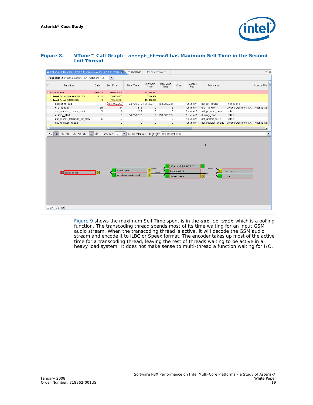

#### <span id="page-18-0"></span>**Figure 8. VTune™ Call Graph - accept\_thread has Maximum Self Time in the Second Init Thread**

| Process: /usr/sbin/asterisk; PID:1421;Size:1727 |              | Call Graph Results [127.0.0.1] - Wed Nov 28 17:37:21 2007 X<br>$\blacktriangledown$ | Ox802A6                  | $\Box$ devicestate.c |                    |                |                        |                  | $=$ $\Box$                                               |
|-------------------------------------------------|--------------|-------------------------------------------------------------------------------------|--------------------------|----------------------|--------------------|----------------|------------------------|------------------|----------------------------------------------------------|
| Function                                        | Calls        | Self Time v                                                                         | <b>Total Time</b>        | Self Wait<br>Time    | Total Wait<br>Time | Class          | Module<br>Path         | Full Name        | Source File                                              |
| $\Box$ Module: asterisk                         | 2.088.426    | 7.606.416.130                                                                       |                          | 903.784.372          |                    |                |                        |                  |                                                          |
| E Thread: Thread_0(2AAAAD8B2150)                | 111,758      | 6,705,214,795                                                                       |                          | 5,114,487            |                    |                |                        |                  |                                                          |
| Thread: Thread_4(400B3940)                      | 170          | 154,462,404                                                                         |                          | 154,462,060          |                    |                |                        |                  |                                                          |
| accept_thread                                   | $\mathbf{1}$ | (154, 462, 357)                                                                     | 154,704,013 154,46       |                      | 154,606,334        |                | /usr/sbin/             | accept_thread    | manager.c                                                |
| urg handler                                     | 158          | 34                                                                                  | 118                      | $\circ$              | 18                 |                | /usr/sbin/             | urg_handler      | /root/src/asterisk-1.4.11/main/aster                     |
| ast pthread create stack                        | 3            | 6                                                                                   | 122                      | $\Omega$             | $\Omega$           |                | /usr/sbin/             | ast pthread crea | utils.c                                                  |
| dummy start                                     | $\mathbf{1}$ | 5                                                                                   | 154,704,018              |                      | 0 154.606.334      |                | /usr/sbin/             | dummy start      | utils.c                                                  |
| ast_atomic_fetchadd_int_slow                    | 6            | $\overline{2}$                                                                      | $\overline{2}$           | 0                    | $\circ$            |                | /usr/sbin/             | ast_atomic_fetch | utils.c                                                  |
| ast register thread                             | $\mathbf{1}$ | $\circ$                                                                             | $\circ$                  | $\circ$              | $\circ$            |                | /usr/sbin/             |                  | ast register thread /root/src/asterisk-1.4.11/main/aster |
|                                                 |              |                                                                                     |                          |                      |                    |                |                        | K                |                                                          |
|                                                 |              |                                                                                     |                          |                      |                    |                |                        |                  |                                                          |
|                                                 |              |                                                                                     |                          |                      |                    |                | _IO_fopen@@GLIBC_2.2.5 |                  |                                                          |
|                                                 |              | getprotobyname                                                                      |                          |                      |                    | fgets unlocked |                        |                  | libc_malloc                                              |
| accept_thread                                   |              |                                                                                     | ast pthread create stack |                      |                    |                |                        |                  |                                                          |
|                                                 |              |                                                                                     |                          |                      |                    | pthread_create |                        |                  | clone                                                    |
|                                                 |              |                                                                                     |                          |                      |                    |                |                        |                  |                                                          |
|                                                 |              |                                                                                     |                          |                      |                    |                |                        |                  |                                                          |
|                                                 |              |                                                                                     |                          |                      |                    |                |                        |                  |                                                          |
|                                                 |              |                                                                                     |                          |                      |                    |                |                        |                  |                                                          |
|                                                 |              |                                                                                     |                          |                      |                    |                |                        |                  |                                                          |

[Figure 9](#page-19-1) shows the maximum Self Time spent is in the ast\_io\_wait which is a polling function. The transcoding thread spends most of its time waiting for an input GSM audio stream. When the transcoding thread is active, it will decode the GSM audio stream and encode it to iLBC or Speex format. The encoder takes up most of the active time for a transcoding thread, leaving the rest of threads waiting to be active in a heavy load system. It does not make sense to multi-thread a function waiting for I/O.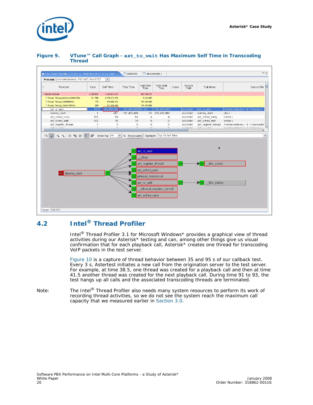

#### <span id="page-19-1"></span>**Figure 9. VTune™ Call Graph - ast\_to\_wait Has Maximum Self Time in Transcoding Thread**

| Call Graph Results [127.0.0.1] - Wed Nov 28 17:37:21 2007 X<br>Process: /usr/sbin/asterisk; PID:1421;Size:1727 |                | $\blacktriangledown$   | Ox802A6              | $\Box$ devicestate.c                                          |                                             |       |                                              |                     | $=$ $\Box$                                                                                                                                                                                                                                                                                                                           |
|----------------------------------------------------------------------------------------------------------------|----------------|------------------------|----------------------|---------------------------------------------------------------|---------------------------------------------|-------|----------------------------------------------|---------------------|--------------------------------------------------------------------------------------------------------------------------------------------------------------------------------------------------------------------------------------------------------------------------------------------------------------------------------------|
| $\Box$<br>Function                                                                                             | Calls          | Self Time T            | <b>Total Time</b>    | Self Wait<br><b>Time</b>                                      | <b>Total Wait</b><br>Time                   | Class | Module<br>Path                               | Full Name           | Source File                                                                                                                                                                                                                                                                                                                          |
| Module: asterisk                                                                                               | 2,088,426      | 7,606,416,130          |                      | 903,784,372                                                   |                                             |       |                                              |                     |                                                                                                                                                                                                                                                                                                                                      |
| Thread: Thread 0(2AAAAD8B2150)                                                                                 | 111,758        | 6,705,214,795          |                      | 5,114,487                                                     |                                             |       |                                              |                     |                                                                                                                                                                                                                                                                                                                                      |
| Thread: Thread_4(400B3940)                                                                                     | 170            | 154,462,404            |                      | 154,462,060                                                   |                                             |       |                                              |                     |                                                                                                                                                                                                                                                                                                                                      |
| Thread: Thread_10(401DF940)                                                                                    | 308            | 101,433,458            |                      | 101,432,980                                                   |                                             |       |                                              |                     |                                                                                                                                                                                                                                                                                                                                      |
| ast io wait                                                                                                    | 102            | 101,432,925            | 101,432,925 101,43.  |                                                               | 101,432,925                                 |       | /usr/sbin/                                   | ast io wait         | /root/src/asterisk-1.4.11/main/io.c                                                                                                                                                                                                                                                                                                  |
| dummy start                                                                                                    | $\overline{1}$ | 451                    | 101,433,488          | 51                                                            | 101,432,980                                 |       | /usr/sbin/                                   | dummy start         | utils.c                                                                                                                                                                                                                                                                                                                              |
| ast_sched_runq                                                                                                 | 101            | 64                     | 64                   | $\overline{4}$                                                | 4                                           |       | /usr/sbin/                                   | ast sched rung      | sched.c                                                                                                                                                                                                                                                                                                                              |
| ast sched wait                                                                                                 | 102            | 18                     | 18                   | $\circ$                                                       | $\circ$                                     |       | /usr/sbin/                                   | ast sched wait      | sched.c                                                                                                                                                                                                                                                                                                                              |
| ast register thread                                                                                            | $\mathbf{1}$   | 0                      | $\circ$              | $\Omega$                                                      | $\Omega$                                    |       | /usr/sbin/                                   | ast register thread | /root/src/asterisk-1.4.11/main/aster                                                                                                                                                                                                                                                                                                 |
| فاقتصب المداعب                                                                                                 | ×              | $\overline{a}$<br>1111 | $\hat{\phantom{a}}$  | $\overline{ }$                                                | $\sim$                                      |       | $\hat{K}$ is a similar function of $\hat{K}$ | فاقتصب والمتعاط     | $\label{eq:2.1} \mathcal{E}_{\text{new}} = \mathcal{E}_{\text{new}} \mathcal{E}_{\text{new}} = \mathcal{E}_{\text{new}} \mathcal{E}_{\text{new}} \mathcal{E}_{\text{new}} + \mathcal{E}_{\text{new}} \mathcal{E}_{\text{new}} + \mathcal{E}_{\text{new}} \mathcal{E}_{\text{new}} \mathcal{E}_{\text{new}}$<br>$\blacktriangleright$ |
| $\Box$<br>$Q \ddot{Q}$<br>中隔部<br>$\mathbf{R}$<br>$\overline{\rho}$                                             | 囹              | Show Top: All          | $\blacktriangledown$ |                                                               | % Recalculate   Highlight: Top 10 Self Time |       |                                              |                     |                                                                                                                                                                                                                                                                                                                                      |
| dummy start                                                                                                    |                |                        |                      | ast io wait<br>cfree<br>ast register thread<br>ast sched wait |                                             |       |                                              | libc calloc         |                                                                                                                                                                                                                                                                                                                                      |
|                                                                                                                |                |                        |                      | pthread testcancel<br>ast_io_add<br>ast sched rung            | pthread register cancel                     |       |                                              | libc malloc         |                                                                                                                                                                                                                                                                                                                                      |

### <span id="page-19-0"></span>**4.2 Intel® Thread Profiler**

Intel® Thread Profiler 3.1 for Microsoft Windows\* provides a graphical view of thread activities during our Asterisk\* testing and can, among other things give us visual confirmation that for each playback call, Asterisk\* creates one thread for transcoding VoIP packets in the test server.

[Figure 10](#page-20-1) is a capture of thread behavior between 35 and 95 s of our callback test. Every 3 s, Astertest initiates a new call from the origination server to the test server. For example, at time 38.5, one thread was created for a playback call and then at time 41.5 another thread was created for the next playback call. During time 91 to 93, the test hangs up all calls and the associated transcoding threads are terminated.

*Note:* The Intel® Thread Profiler also needs many system resources to perform its work of recording thread activities, so we do not see the system reach the maximum call capacity that we measured earlier in [Section 3.0.](#page-6-0)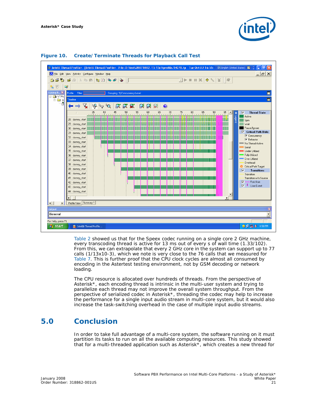



#### <span id="page-20-1"></span>**Figure 10. Create/Terminate Threads for Playback Call Test**

[Table 2](#page-8-2) showed us that for the Speex codec running on a single core 2 GHz machine, every transcoding thread is active for 13 ms out of every s of wall time (1.33/102). From this, we can extrapolate that every 2 GHz core in the system can support up to 77 calls (1/13x10-3), which we note is very close to the 76 calls that we measured for [Table 7](#page-11-2). This is further proof that the CPU clock cycles are almost all consumed by encoding in the Astertest testing environment, not by GSM decoding or network loading.

The CPU resource is allocated over hundreds of threads. From the perspective of Asterisk\*, each encoding thread is intrinsic in the multi-user system and trying to parallelize each thread may not improve the overall system throughput. From the perspective of serialized codec in Asterisk\*, threading the codec may help to increase the performance for a single input audio stream in multi-core system, but it would also increase the task-switching overhead in the case of multiple input audio streams.

### <span id="page-20-0"></span>**5.0 Conclusion**

In order to take full advantage of a multi-core system, the software running on it must partition its tasks to run on all the available computing resources. This study showed that for a multi-threaded application such as Asterisk\*, which creates a new thread for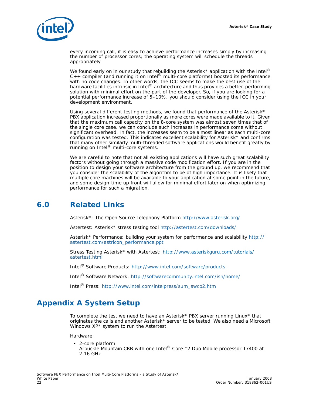

every incoming call, it is easy to achieve performance increases simply by increasing the number of processor cores; the operating system will schedule the threads appropriately.

We found early on in our study that rebuilding the Asterisk\* application with the Intel<sup>®</sup>  $C_{++}$  compiler (and running it on Intel<sup>®</sup> multi-core platforms) boosted its performance with no code changes. In other words, the ICC seems to make the best use of the hardware facilities intrinsic in Intel® architecture and thus provides a better-performing solution with minimal effort on the part of the developer. So, if you are looking for a potential performance increase of 5–10%, you should consider using the ICC in your development environment.

Using several different testing methods, we found that performance of the Asterisk\* PBX application increased proportionally as more cores were made available to it. Given that the maximum call capacity on the 8-core system was almost seven times that of the single core case, we can conclude such increases in performance come without significant overhead. In fact, the increases seem to be almost linear as each multi-core configuration was tested. This indicates excellent scalability for Asterisk\* and confirms that many other similarly multi-threaded software applications would benefit greatly by<br>running on Intel® multi-core systems.

We are careful to note that not all existing applications will have such great scalability factors without going through a massive code modification effort. If you are in the position to design your software architecture from the ground up, we recommend that you consider the scalability of the algorithm to be of high importance. It is likely that multiple core machines will be available to your application at some point in the future, and some design-time up front will allow for minimal effort later on when optimizing performance for such a migration.

## <span id="page-21-0"></span>**6.0 Related Links**

Asterisk\*: The Open Source Telephony Platform <http://www.asterisk.org/>

Astertest: Asterisk\* stress testing tool<http://astertest.com/downloads/>

Asterisk\* Performance: building your system for performance and scalability [http://](http://astertest.com/astricon_performance.ppt) [astertest.com/astricon\\_performance.ppt](http://astertest.com/astricon_performance.ppt)

Stress Testing Asterisk\* with Astertest: [http://www.asteriskguru.com/tutorials/](http://www.asteriskguru.com/tutorials/astertest.html) [astertest.html](http://www.asteriskguru.com/tutorials/astertest.html)

Intel® Software Products: <http://www.intel.com/software/products>

Intel® Software Network:<http://softwarecommunity.intel.com/isn/home/>

Intel® Press: [http://www.intel.com/intelpress/sum\\_swcb2.htm](http://www.intel.com/intelpress/sum_swcb2.htm)

## <span id="page-21-1"></span>**Appendix A System Setup**

To complete the test we need to have an Asterisk\* PBX server running Linux\* that originates the calls and another Asterisk\* server to be tested. We also need a Microsoft Windows XP\* system to run the Astertest.

Hardware:

• 2-core platform Arbuckle Mountain CRB with one Intel® Core™2 Duo Mobile processor T7400 at 2.16 GHz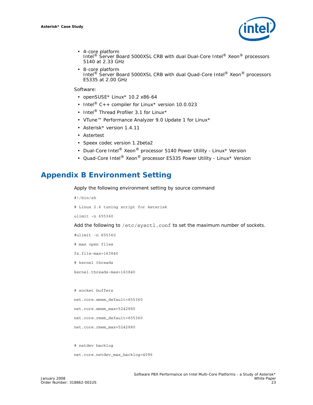

- 4-core platform<br>Intel® Server Board 5000XSL CRB with dual Dual-Core Intel® Xeon® processors 5140 at 2.33 GHz
- 8-core platform Intel® Server Board 5000XSL CRB with dual Quad-Core Intel® Xeon® processors E5335 at 2.00 GHz

Software:

- openSUSE $*$  Linux $*$  10.2 x86-64
- Intel $^{\circledR}$  C++ compiler for Linux\* version 10.0.023
- Intel<sup>®</sup> Thread Profiler 3.1 for Linux\*
- VTune™ Performance Analyzer 9.0 Update 1 for Linux\*
- Asterisk\* version 1.4.11
- Astertest
- Speex codec version 1.2beta2
- Dual-Core Intel<sup>®</sup> Xeon<sup>®</sup> processor 5140 Power Utility Linux\* Version
- Quad-Core Intel<sup>®</sup> Xeon<sup>®</sup> processor E5335 Power Utility Linux\* Version

### <span id="page-22-0"></span>**Appendix B Environment Setting**

Apply the following environment setting by source command

```
#!/bin/sh
```
# Linux 2.6 tuning script for Asterisk

ulimit -n 655360

Add the following to /etc/sysctl.conf to set the maximum number of sockets.

```
#ulimit -n 655360
```
# max open files

fs.file-max=163840

# kernel threads

kernel.threads-max=163840

# socket buffers

net.core.wmem\_default=655360

net.core.wmem\_max=5242880

net.core.rmem\_default=655360

net.core.rmem\_max=5242880

# netdev backlog

```
net.core.netdev_max_backlog=4096
```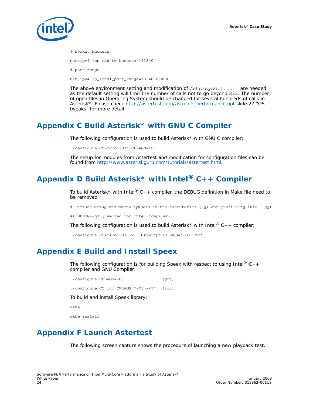

# socket buckets net.ipv4.tcp\_max\_tw\_buckets=163840 # port range

net.ipv4.ip\_local\_port\_range=10240 65000

The above environment setting and modification of /etc/sysctl.conf are needed, as the default setting will limit the number of calls not to go beyond 333. The number of open files in Operating System should be changed for several hundreds of calls in Asterisk\*. Please check [http://astertest.com/astricon\\_performance.ppt](http://astertest.com/astricon_performance.ppt) slide 27 "OS tweaks" for more detail.

## <span id="page-23-0"></span>**Appendix C Build Asterisk\* with GNU C Compiler**

The following configuration is used to build Asterisk\* with GNU C compiler:

./configure CC="gcc -O3" CFLAGS=-O3

The setup for modules from Astertest and modification for configuration files can be found from [http://www.asteriskguru.com/tutorials/astertest.html.](http://www.asteriskguru.com/tutorials/astertest.html)

## <span id="page-23-1"></span>**Appendix D Build Asterisk\* with Intel® C++ Compiler**

To build Asterisk\* with Intel®  $C++$  compiler, the DEBUG definition in Make file need to be removed

# Include debug and macro symbols in the executables (-g) and profileing info (-pg)

## DEBUG=-g3 (removed for Intel compiler)

The following configuration is used to build Asterisk\* with Intel®  $C++$  compiler:

./configure CC="icc -O3 -xT" CXX=icpc CFLAGS="-O3 -xT"

## <span id="page-23-2"></span>**Appendix E Build and Install Speex**

The following configuration is for building Speex with respect to using Intel®  $C++$ compiler and GNU Compiler:

./configure CFLAGS=-O3 (gcc) ./configure CC=icc CFLAGS="-O3 -xT" (icc) To build and install Speex library: make make install

## <span id="page-23-3"></span>**Appendix F Launch Astertest**

The following screen capture shows the procedure of launching a new playback test.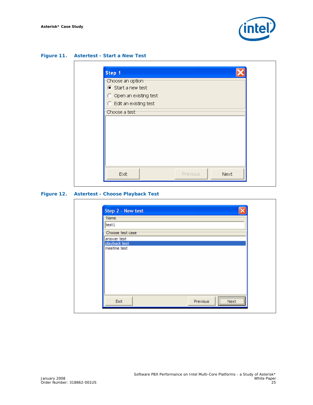

#### <span id="page-24-0"></span>**Figure 11. Astertest - Start a New Test**

| Step 1                  |                 |      |
|-------------------------|-----------------|------|
| Choose an option        |                 |      |
| G Start a new test      |                 |      |
| © Open an existing test |                 |      |
| C Edit an existing test |                 |      |
| Choose a test-          |                 |      |
|                         |                 |      |
|                         |                 |      |
|                         |                 |      |
|                         |                 |      |
|                         |                 |      |
|                         |                 |      |
|                         |                 |      |
| Exit                    | <b>Previous</b> | Next |

### <span id="page-24-1"></span>**Figure 12. Astertest - Choose Playback Test**

| Step 2 - New test |          |                                    |
|-------------------|----------|------------------------------------|
| Name <sup>-</sup> |          |                                    |
| test1             |          |                                    |
| Choose test case  |          |                                    |
| answer test       |          |                                    |
| playback test     |          |                                    |
| meetme test       |          |                                    |
|                   |          |                                    |
|                   |          |                                    |
|                   |          |                                    |
|                   |          |                                    |
|                   |          |                                    |
|                   |          |                                    |
|                   |          |                                    |
|                   |          |                                    |
|                   |          | ,,,,,,,,,,,,,,,,,,,,,,,,,,,,,,,,,, |
| Exit              | Previous | Next                               |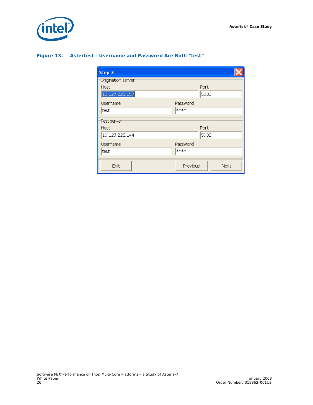

#### <span id="page-25-0"></span>**Figure 13. Astertest - Username and Password Are Both "test"**

| Origination server |                  |  |
|--------------------|------------------|--|
| <b>Host</b>        | Port             |  |
| 10.127.225.157     | 5038             |  |
| <b>Username</b>    | Password         |  |
| test               | ****             |  |
| Test server-       |                  |  |
| Host               | Port             |  |
| 10.127.225.144     | 5038             |  |
| Username           | Password         |  |
| test               | ****             |  |
| Exit               | Next<br>Previous |  |